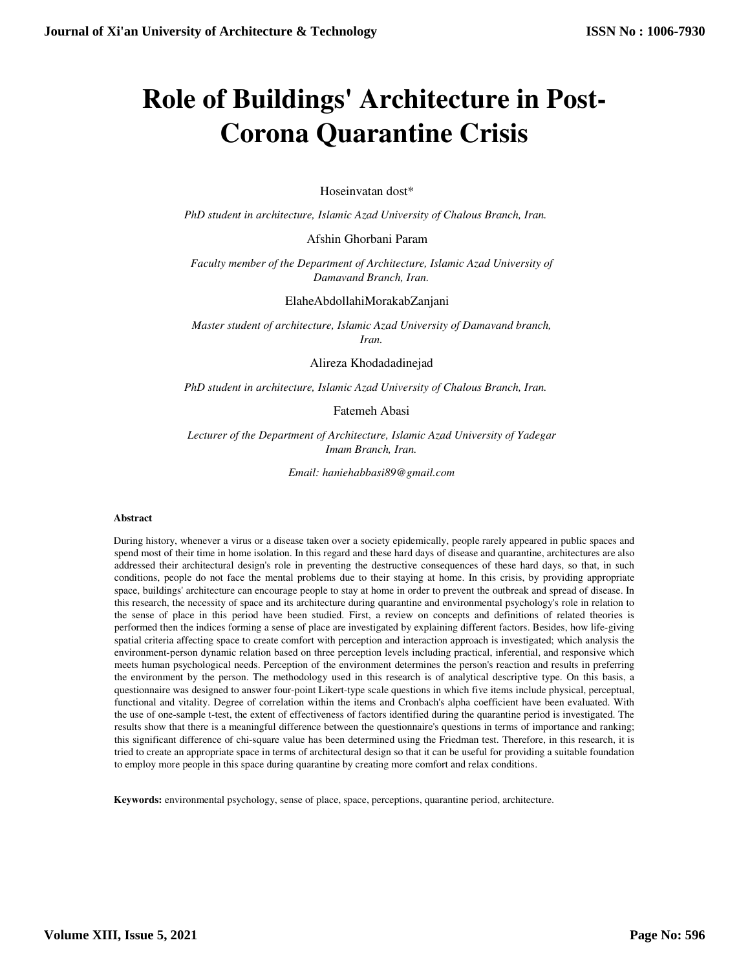# **Role of Buildings' Architecture in Post-Corona Quarantine Crisis**

Hoseinvatan dost\*

*PhD student in architecture, Islamic Azad University of Chalous Branch, Iran.* 

Afshin Ghorbani Param

*Faculty member of the Department of Architecture, Islamic Azad University of Damavand Branch, Iran.*

ElaheAbdollahiMorakabZanjani

*Master student of architecture, Islamic Azad University of Damavand branch, Iran.*

Alireza Khodadadinejad

*PhD student in architecture, Islamic Azad University of Chalous Branch, Iran.* 

Fatemeh Abasi

*Lecturer of the Department of Architecture, Islamic Azad University of Yadegar Imam Branch, Iran.*

*Email: haniehabbasi89@gmail.com*

#### **Abstract**

During history, whenever a virus or a disease taken over a society epidemically, people rarely appeared in public spaces and spend most of their time in home isolation. In this regard and these hard days of disease and quarantine, architectures are also addressed their architectural design's role in preventing the destructive consequences of these hard days, so that, in such conditions, people do not face the mental problems due to their staying at home. In this crisis, by providing appropriate space, buildings' architecture can encourage people to stay at home in order to prevent the outbreak and spread of disease. In this research, the necessity of space and its architecture during quarantine and environmental psychology's role in relation to the sense of place in this period have been studied. First, a review on concepts and definitions of related theories is performed then the indices forming a sense of place are investigated by explaining different factors. Besides, how life-giving spatial criteria affecting space to create comfort with perception and interaction approach is investigated; which analysis the environment-person dynamic relation based on three perception levels including practical, inferential, and responsive which meets human psychological needs. Perception of the environment determines the person's reaction and results in preferring the environment by the person. The methodology used in this research is of analytical descriptive type. On this basis, a questionnaire was designed to answer four-point Likert-type scale questions in which five items include physical, perceptual, functional and vitality. Degree of correlation within the items and Cronbach's alpha coefficient have been evaluated. With the use of one-sample t-test, the extent of effectiveness of factors identified during the quarantine period is investigated. The results show that there is a meaningful difference between the questionnaire's questions in terms of importance and ranking; this significant difference of chi-square value has been determined using the Friedman test. Therefore, in this research, it is tried to create an appropriate space in terms of architectural design so that it can be useful for providing a suitable foundation to employ more people in this space during quarantine by creating more comfort and relax conditions.

**Keywords:** environmental psychology, sense of place, space, perceptions, quarantine period, architecture.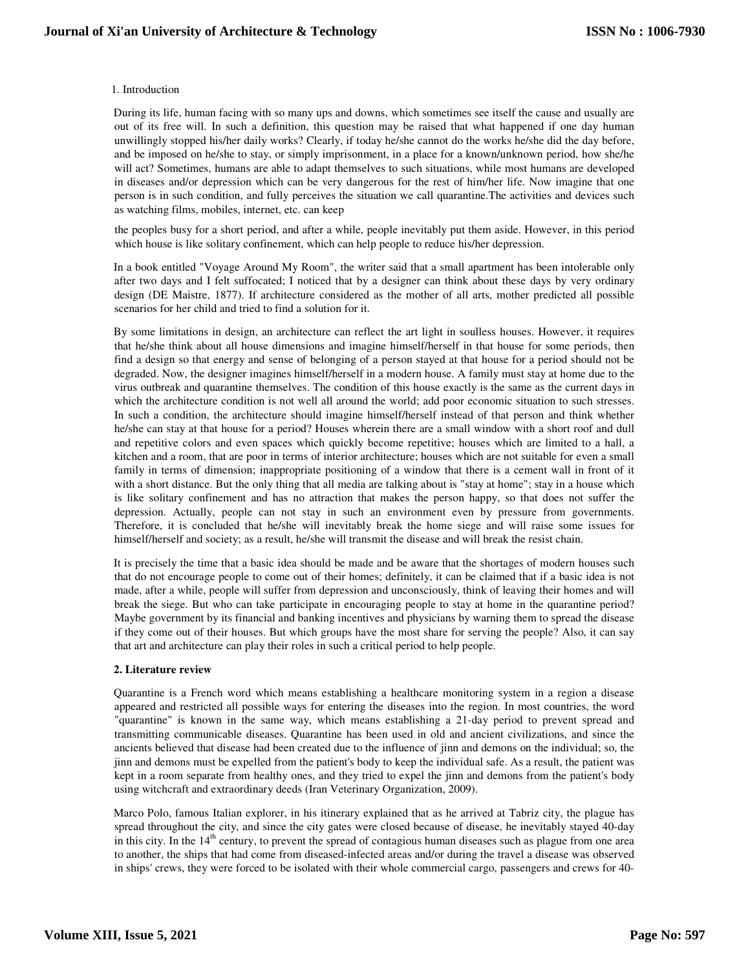### 1. Introduction

During its life, human facing with so many ups and downs, which sometimes see itself the cause and usually are out of its free will. In such a definition, this question may be raised that what happened if one day human unwillingly stopped his/her daily works? Clearly, if today he/she cannot do the works he/she did the day before, and be imposed on he/she to stay, or simply imprisonment, in a place for a known/unknown period, how she/he will act? Sometimes, humans are able to adapt themselves to such situations, while most humans are developed in diseases and/or depression which can be very dangerous for the rest of him/her life. Now imagine that one person is in such condition, and fully perceives the situation we call quarantine.The activities and devices such as watching films, mobiles, internet, etc. can keep

the peoples busy for a short period, and after a while, people inevitably put them aside. However, in this period which house is like solitary confinement, which can help people to reduce his/her depression.

In a book entitled "Voyage Around My Room", the writer said that a small apartment has been intolerable only after two days and I felt suffocated; I noticed that by a designer can think about these days by very ordinary design (DE Maistre, 1877). If architecture considered as the mother of all arts, mother predicted all possible scenarios for her child and tried to find a solution for it.

By some limitations in design, an architecture can reflect the art light in soulless houses. However, it requires that he/she think about all house dimensions and imagine himself/herself in that house for some periods, then find a design so that energy and sense of belonging of a person stayed at that house for a period should not be degraded. Now, the designer imagines himself/herself in a modern house. A family must stay at home due to the virus outbreak and quarantine themselves. The condition of this house exactly is the same as the current days in which the architecture condition is not well all around the world; add poor economic situation to such stresses. In such a condition, the architecture should imagine himself/herself instead of that person and think whether he/she can stay at that house for a period? Houses wherein there are a small window with a short roof and dull and repetitive colors and even spaces which quickly become repetitive; houses which are limited to a hall, a kitchen and a room, that are poor in terms of interior architecture; houses which are not suitable for even a small family in terms of dimension; inappropriate positioning of a window that there is a cement wall in front of it with a short distance. But the only thing that all media are talking about is "stay at home"; stay in a house which is like solitary confinement and has no attraction that makes the person happy, so that does not suffer the depression. Actually, people can not stay in such an environment even by pressure from governments. Therefore, it is concluded that he/she will inevitably break the home siege and will raise some issues for himself/herself and society; as a result, he/she will transmit the disease and will break the resist chain.

It is precisely the time that a basic idea should be made and be aware that the shortages of modern houses such that do not encourage people to come out of their homes; definitely, it can be claimed that if a basic idea is not made, after a while, people will suffer from depression and unconsciously, think of leaving their homes and will break the siege. But who can take participate in encouraging people to stay at home in the quarantine period? Maybe government by its financial and banking incentives and physicians by warning them to spread the disease if they come out of their houses. But which groups have the most share for serving the people? Also, it can say that art and architecture can play their roles in such a critical period to help people.

# **2. Literature review**

Quarantine is a French word which means establishing a healthcare monitoring system in a region a disease appeared and restricted all possible ways for entering the diseases into the region. In most countries, the word "quarantine" is known in the same way, which means establishing a 21-day period to prevent spread and transmitting communicable diseases. Quarantine has been used in old and ancient civilizations, and since the ancients believed that disease had been created due to the influence of jinn and demons on the individual; so, the jinn and demons must be expelled from the patient's body to keep the individual safe. As a result, the patient was kept in a room separate from healthy ones, and they tried to expel the jinn and demons from the patient's body using witchcraft and extraordinary deeds (Iran Veterinary Organization, 2009).

Marco Polo, famous Italian explorer, in his itinerary explained that as he arrived at Tabriz city, the plague has spread throughout the city, and since the city gates were closed because of disease, he inevitably stayed 40-day in this city. In the  $14<sup>th</sup>$  century, to prevent the spread of contagious human diseases such as plague from one area to another, the ships that had come from diseased-infected areas and/or during the travel a disease was observed in ships' crews, they were forced to be isolated with their whole commercial cargo, passengers and crews for 40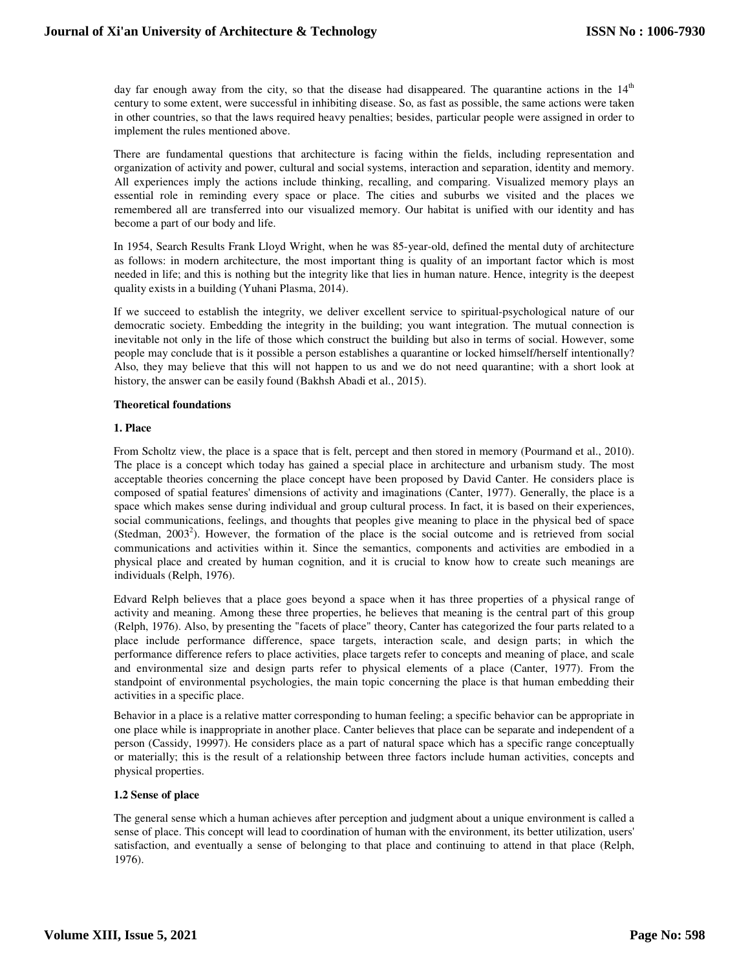day far enough away from the city, so that the disease had disappeared. The quarantine actions in the 14<sup>th</sup> century to some extent, were successful in inhibiting disease. So, as fast as possible, the same actions were taken in other countries, so that the laws required heavy penalties; besides, particular people were assigned in order to implement the rules mentioned above.

There are fundamental questions that architecture is facing within the fields, including representation and organization of activity and power, cultural and social systems, interaction and separation, identity and memory. All experiences imply the actions include thinking, recalling, and comparing. Visualized memory plays an essential role in reminding every space or place. The cities and suburbs we visited and the places we remembered all are transferred into our visualized memory. Our habitat is unified with our identity and has become a part of our body and life.

In 1954, Search Results Frank Lloyd Wright, when he was 85-year-old, defined the mental duty of architecture as follows: in modern architecture, the most important thing is quality of an important factor which is most needed in life; and this is nothing but the integrity like that lies in human nature. Hence, integrity is the deepest quality exists in a building (Yuhani Plasma, 2014).

If we succeed to establish the integrity, we deliver excellent service to spiritual-psychological nature of our democratic society. Embedding the integrity in the building; you want integration. The mutual connection is inevitable not only in the life of those which construct the building but also in terms of social. However, some people may conclude that is it possible a person establishes a quarantine or locked himself/herself intentionally? Also, they may believe that this will not happen to us and we do not need quarantine; with a short look at history, the answer can be easily found (Bakhsh Abadi et al., 2015).

#### **Theoretical foundations**

# **1. Place**

From Scholtz view, the place is a space that is felt, percept and then stored in memory (Pourmand et al., 2010). The place is a concept which today has gained a special place in architecture and urbanism study. The most acceptable theories concerning the place concept have been proposed by David Canter. He considers place is composed of spatial features' dimensions of activity and imaginations (Canter, 1977). Generally, the place is a space which makes sense during individual and group cultural process. In fact, it is based on their experiences, social communications, feelings, and thoughts that peoples give meaning to place in the physical bed of space (Stedman,  $2003^2$ ). However, the formation of the place is the social outcome and is retrieved from social communications and activities within it. Since the semantics, components and activities are embodied in a physical place and created by human cognition, and it is crucial to know how to create such meanings are individuals (Relph, 1976).

Edvard Relph believes that a place goes beyond a space when it has three properties of a physical range of activity and meaning. Among these three properties, he believes that meaning is the central part of this group (Relph, 1976). Also, by presenting the "facets of place" theory, Canter has categorized the four parts related to a place include performance difference, space targets, interaction scale, and design parts; in which the performance difference refers to place activities, place targets refer to concepts and meaning of place, and scale and environmental size and design parts refer to physical elements of a place (Canter, 1977). From the standpoint of environmental psychologies, the main topic concerning the place is that human embedding their activities in a specific place.

Behavior in a place is a relative matter corresponding to human feeling; a specific behavior can be appropriate in one place while is inappropriate in another place. Canter believes that place can be separate and independent of a person (Cassidy, 19997). He considers place as a part of natural space which has a specific range conceptually or materially; this is the result of a relationship between three factors include human activities, concepts and physical properties.

# **1.2 Sense of place**

The general sense which a human achieves after perception and judgment about a unique environment is called a sense of place. This concept will lead to coordination of human with the environment, its better utilization, users' satisfaction, and eventually a sense of belonging to that place and continuing to attend in that place (Relph, 1976).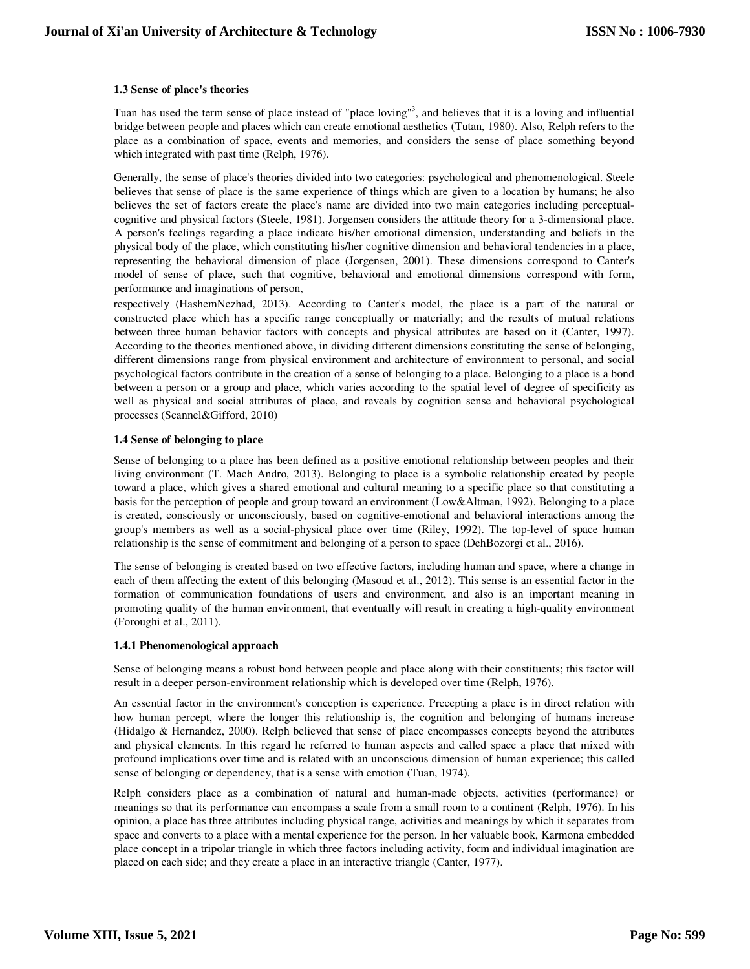# **1.3 Sense of place's theories**

Tuan has used the term sense of place instead of "place loving"<sup>3</sup>, and believes that it is a loving and influential bridge between people and places which can create emotional aesthetics (Tutan, 1980). Also, Relph refers to the place as a combination of space, events and memories, and considers the sense of place something beyond which integrated with past time (Relph, 1976).

Generally, the sense of place's theories divided into two categories: psychological and phenomenological. Steele believes that sense of place is the same experience of things which are given to a location by humans; he also believes the set of factors create the place's name are divided into two main categories including perceptualcognitive and physical factors (Steele, 1981). Jorgensen considers the attitude theory for a 3-dimensional place. A person's feelings regarding a place indicate his/her emotional dimension, understanding and beliefs in the physical body of the place, which constituting his/her cognitive dimension and behavioral tendencies in a place, representing the behavioral dimension of place (Jorgensen, 2001). These dimensions correspond to Canter's model of sense of place, such that cognitive, behavioral and emotional dimensions correspond with form, performance and imaginations of person,

respectively (HashemNezhad, 2013). According to Canter's model, the place is a part of the natural or constructed place which has a specific range conceptually or materially; and the results of mutual relations between three human behavior factors with concepts and physical attributes are based on it (Canter, 1997). According to the theories mentioned above, in dividing different dimensions constituting the sense of belonging, different dimensions range from physical environment and architecture of environment to personal, and social psychological factors contribute in the creation of a sense of belonging to a place. Belonging to a place is a bond between a person or a group and place, which varies according to the spatial level of degree of specificity as well as physical and social attributes of place, and reveals by cognition sense and behavioral psychological processes (Scannel&Gifford, 2010)

# **1.4 Sense of belonging to place**

Sense of belonging to a place has been defined as a positive emotional relationship between peoples and their living environment (T. Mach Andro, 2013). Belonging to place is a symbolic relationship created by people toward a place, which gives a shared emotional and cultural meaning to a specific place so that constituting a basis for the perception of people and group toward an environment (Low&Altman, 1992). Belonging to a place is created, consciously or unconsciously, based on cognitive-emotional and behavioral interactions among the group's members as well as a social-physical place over time (Riley, 1992). The top-level of space human relationship is the sense of commitment and belonging of a person to space (DehBozorgi et al., 2016).

The sense of belonging is created based on two effective factors, including human and space, where a change in each of them affecting the extent of this belonging (Masoud et al., 2012). This sense is an essential factor in the formation of communication foundations of users and environment, and also is an important meaning in promoting quality of the human environment, that eventually will result in creating a high-quality environment (Foroughi et al., 2011).

# **1.4.1 Phenomenological approach**

Sense of belonging means a robust bond between people and place along with their constituents; this factor will result in a deeper person-environment relationship which is developed over time (Relph, 1976).

An essential factor in the environment's conception is experience. Precepting a place is in direct relation with how human percept, where the longer this relationship is, the cognition and belonging of humans increase (Hidalgo & Hernandez, 2000). Relph believed that sense of place encompasses concepts beyond the attributes and physical elements. In this regard he referred to human aspects and called space a place that mixed with profound implications over time and is related with an unconscious dimension of human experience; this called sense of belonging or dependency, that is a sense with emotion (Tuan, 1974).

Relph considers place as a combination of natural and human-made objects, activities (performance) or meanings so that its performance can encompass a scale from a small room to a continent (Relph, 1976). In his opinion, a place has three attributes including physical range, activities and meanings by which it separates from space and converts to a place with a mental experience for the person. In her valuable book, Karmona embedded place concept in a tripolar triangle in which three factors including activity, form and individual imagination are placed on each side; and they create a place in an interactive triangle (Canter, 1977).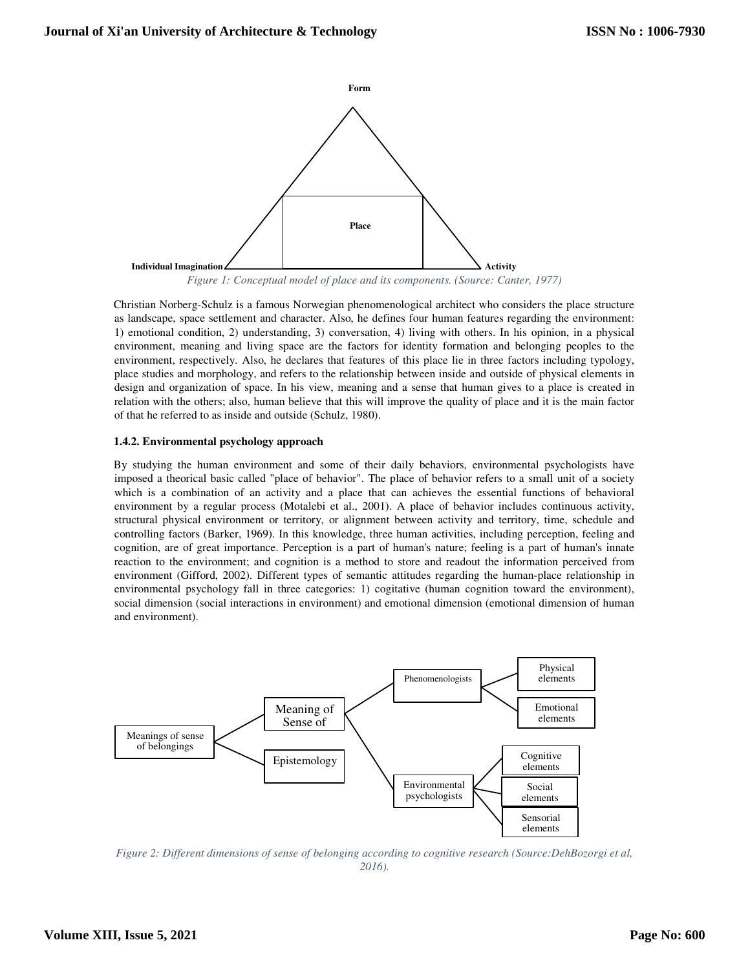

*Figure 1: Conceptual model of place and its components. (Source: Canter, 1977)* 

Christian Norberg-Schulz is a famous Norwegian phenomenological architect who considers the place structure as landscape, space settlement and character. Also, he defines four human features regarding the environment: 1) emotional condition, 2) understanding, 3) conversation, 4) living with others. In his opinion, in a physical environment, meaning and living space are the factors for identity formation and belonging peoples to the environment, respectively. Also, he declares that features of this place lie in three factors including typology, place studies and morphology, and refers to the relationship between inside and outside of physical elements in design and organization of space. In his view, meaning and a sense that human gives to a place is created in relation with the others; also, human believe that this will improve the quality of place and it is the main factor of that he referred to as inside and outside (Schulz, 1980).

# **1.4.2. Environmental psychology approach**

By studying the human environment and some of their daily behaviors, environmental psychologists have imposed a theorical basic called "place of behavior". The place of behavior refers to a small unit of a society which is a combination of an activity and a place that can achieves the essential functions of behavioral environment by a regular process (Motalebi et al., 2001). A place of behavior includes continuous activity, structural physical environment or territory, or alignment between activity and territory, time, schedule and controlling factors (Barker, 1969). In this knowledge, three human activities, including perception, feeling and cognition, are of great importance. Perception is a part of human's nature; feeling is a part of human's innate reaction to the environment; and cognition is a method to store and readout the information perceived from environment (Gifford, 2002). Different types of semantic attitudes regarding the human-place relationship in environmental psychology fall in three categories: 1) cogitative (human cognition toward the environment), social dimension (social interactions in environment) and emotional dimension (emotional dimension of human and environment).



*Figure 2: Different dimensions of sense of belonging according to cognitive research (Source:DehBozorgi et al, 2016).*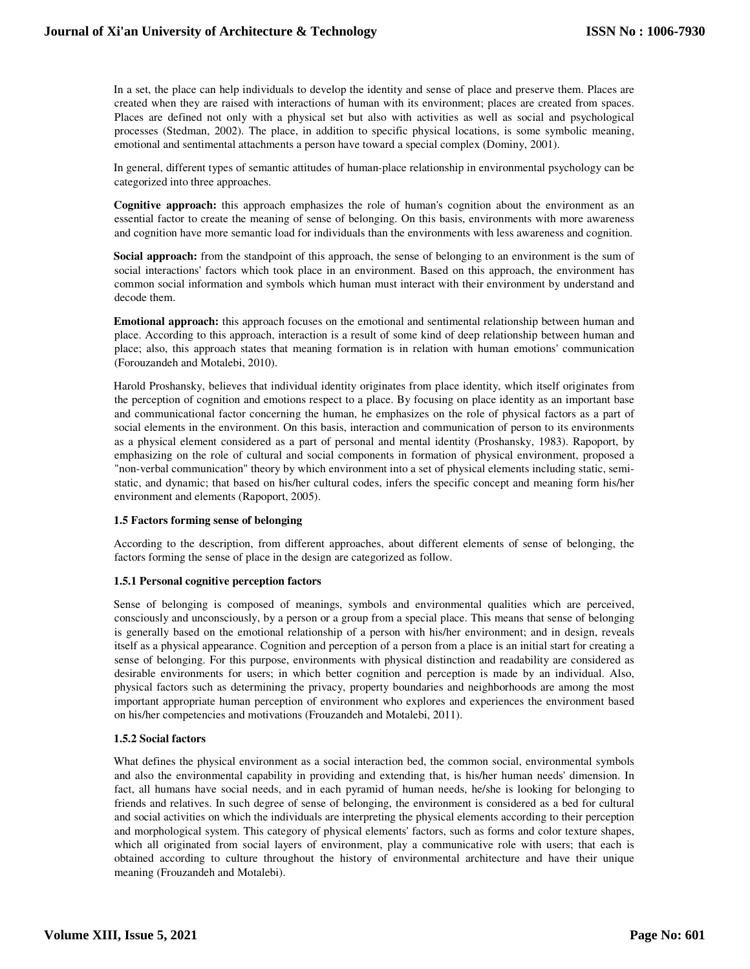In a set, the place can help individuals to develop the identity and sense of place and preserve them. Places are created when they are raised with interactions of human with its environment; places are created from spaces. Places are defined not only with a physical set but also with activities as well as social and psychological processes (Stedman, 2002). The place, in addition to specific physical locations, is some symbolic meaning, emotional and sentimental attachments a person have toward a special complex (Dominy, 2001).

In general, different types of semantic attitudes of human-place relationship in environmental psychology can be categorized into three approaches.

**Cognitive approach:** this approach emphasizes the role of human's cognition about the environment as an essential factor to create the meaning of sense of belonging. On this basis, environments with more awareness and cognition have more semantic load for individuals than the environments with less awareness and cognition.

**Social approach:** from the standpoint of this approach, the sense of belonging to an environment is the sum of social interactions' factors which took place in an environment. Based on this approach, the environment has common social information and symbols which human must interact with their environment by understand and decode them.

**Emotional approach:** this approach focuses on the emotional and sentimental relationship between human and place. According to this approach, interaction is a result of some kind of deep relationship between human and place; also, this approach states that meaning formation is in relation with human emotions' communication (Forouzandeh and Motalebi, 2010).

Harold Proshansky, believes that individual identity originates from place identity, which itself originates from the perception of cognition and emotions respect to a place. By focusing on place identity as an important base and communicational factor concerning the human, he emphasizes on the role of physical factors as a part of social elements in the environment. On this basis, interaction and communication of person to its environments as a physical element considered as a part of personal and mental identity (Proshansky, 1983). Rapoport, by emphasizing on the role of cultural and social components in formation of physical environment, proposed a "non-verbal communication" theory by which environment into a set of physical elements including static, semistatic, and dynamic; that based on his/her cultural codes, infers the specific concept and meaning form his/her environment and elements (Rapoport, 2005).

# **1.5 Factors forming sense of belonging**

According to the description, from different approaches, about different elements of sense of belonging, the factors forming the sense of place in the design are categorized as follow.

# **1.5.1 Personal cognitive perception factors**

Sense of belonging is composed of meanings, symbols and environmental qualities which are perceived, consciously and unconsciously, by a person or a group from a special place. This means that sense of belonging is generally based on the emotional relationship of a person with his/her environment; and in design, reveals itself as a physical appearance. Cognition and perception of a person from a place is an initial start for creating a sense of belonging. For this purpose, environments with physical distinction and readability are considered as desirable environments for users; in which better cognition and perception is made by an individual. Also, physical factors such as determining the privacy, property boundaries and neighborhoods are among the most important appropriate human perception of environment who explores and experiences the environment based on his/her competencies and motivations (Frouzandeh and Motalebi, 2011).

# **1.5.2 Social factors**

What defines the physical environment as a social interaction bed, the common social, environmental symbols and also the environmental capability in providing and extending that, is his/her human needs' dimension. In fact, all humans have social needs, and in each pyramid of human needs, he/she is looking for belonging to friends and relatives. In such degree of sense of belonging, the environment is considered as a bed for cultural and social activities on which the individuals are interpreting the physical elements according to their perception and morphological system. This category of physical elements' factors, such as forms and color texture shapes, which all originated from social layers of environment, play a communicative role with users; that each is obtained according to culture throughout the history of environmental architecture and have their unique meaning (Frouzandeh and Motalebi).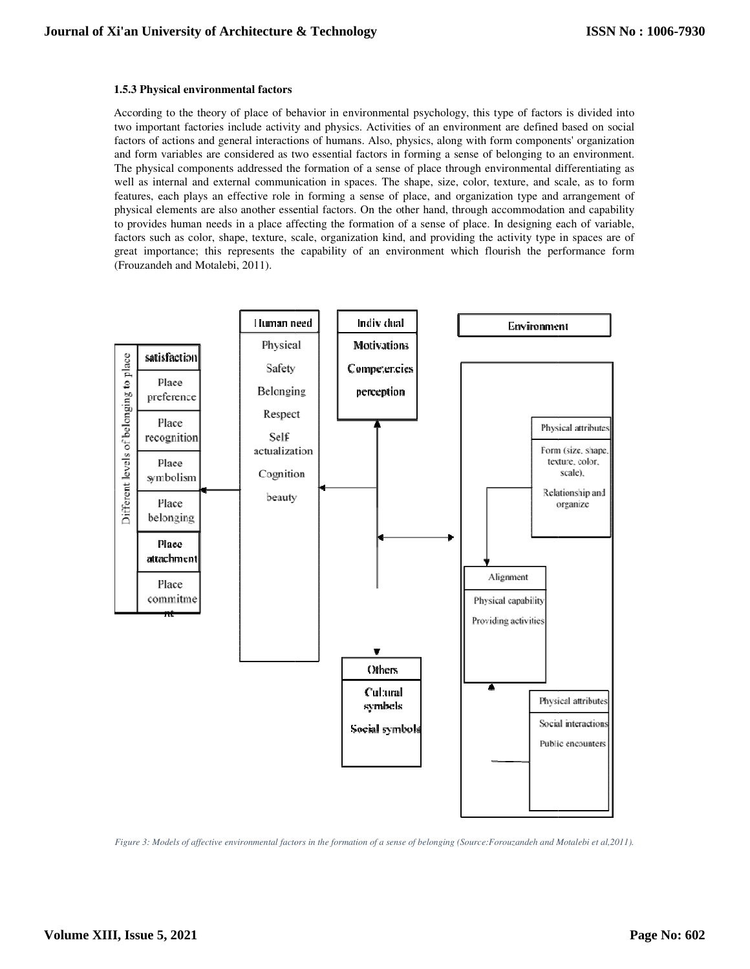#### **1.5.3 Physical environmental factors**

According to the theory of place of behavior in environmental psychology, this type of factors is divided into two important factories include activity and physics. Activities of an environment are defined based on social factors of actions and general interactions of humans. Also, physics, along with form components' organization and form variables are considered as two essential factors in forming a sense of belonging to an environment. The physical components addressed the formation of a sense of place through environmental differentiating as well as internal and external communication in spaces. The shape, size, color, texture, and scale, as to form well as internal and external communication in spaces. The shape, size, color, texture, and scale, as to form<br>features, each plays an effective role in forming a sense of place, and organization type and arrangement of physical elements are also another essential factors. On the other hand, through accommodation and capability to provides human needs in a place affecting the formation of a sense of place. In designing each of variable, factors such as color, shape, texture, scale, organization kind, and providing the activity type in spaces are of great importance; this represents the capability of an environment which flourish the performance form (Frouzandeh and Motalebi, 2011). the theory of place of behavior in environmental psychology, this type of factors is divided into at factories include activity and physics. Activities of an environment are defined based on social ions and general interac vides human needs in a place affecting the formation of a se<br>is such as color, shape, texture, scale, organization kind, and<br>importance; this represents the capability of an environm



*Figure 3: Models of affective environmental factors in the formation of a sense of belonging (Source:Forouzandeh and Motalebi et al,2*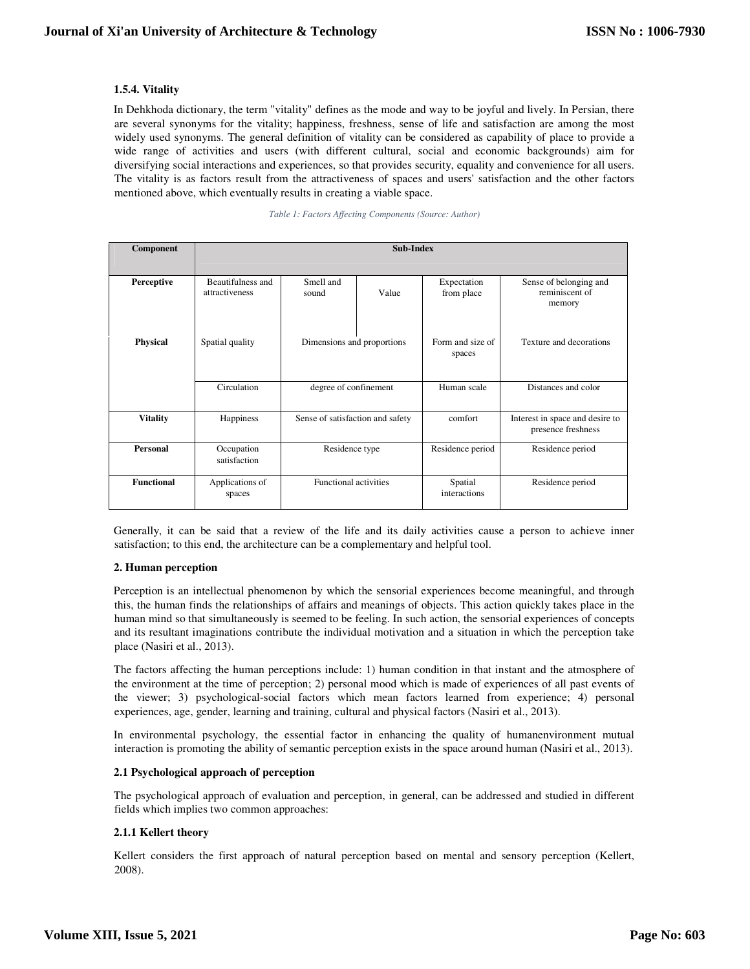# **1.5.4. Vitality**

In Dehkhoda dictionary, the term "vitality" defines as the mode and way to be joyful and lively. In Persian, there are several synonyms for the vitality; happiness, freshness, sense of life and satisfaction are among the most widely used synonyms. The general definition of vitality can be considered as capability of place to provide a wide range of activities and users (with different cultural, social and economic backgrounds) aim for diversifying social interactions and experiences, so that provides security, equality and convenience for all users. The vitality is as factors result from the attractiveness of spaces and users' satisfaction and the other factors mentioned above, which eventually results in creating a viable space.

|  | Table 1: Factors Affecting Components (Source: Author) |  |  |  |
|--|--------------------------------------------------------|--|--|--|
|--|--------------------------------------------------------|--|--|--|

| Component         | Sub-Index                           |                                                     |       |                            |                                                       |  |
|-------------------|-------------------------------------|-----------------------------------------------------|-------|----------------------------|-------------------------------------------------------|--|
| Perceptive        | Beautifulness and<br>attractiveness | Smell and<br>sound                                  | Value | Expectation<br>from place  | Sense of belonging and<br>reminiscent of<br>memory    |  |
| <b>Physical</b>   | Spatial quality                     | Dimensions and proportions<br>degree of confinement |       | Form and size of<br>spaces | Texture and decorations                               |  |
|                   | Circulation                         |                                                     |       | Human scale                | Distances and color                                   |  |
| <b>Vitality</b>   | Happiness                           | Sense of satisfaction and safety                    |       | comfort                    | Interest in space and desire to<br>presence freshness |  |
| Personal          | Occupation<br>satisfaction          | Residence type                                      |       | Residence period           | Residence period                                      |  |
| <b>Functional</b> | Applications of<br>spaces           | <b>Functional activities</b>                        |       | Spatial<br>interactions    | Residence period                                      |  |

Generally, it can be said that a review of the life and its daily activities cause a person to achieve inner satisfaction; to this end, the architecture can be a complementary and helpful tool.

# **2. Human perception**

Perception is an intellectual phenomenon by which the sensorial experiences become meaningful, and through this, the human finds the relationships of affairs and meanings of objects. This action quickly takes place in the human mind so that simultaneously is seemed to be feeling. In such action, the sensorial experiences of concepts and its resultant imaginations contribute the individual motivation and a situation in which the perception take place (Nasiri et al., 2013).

The factors affecting the human perceptions include: 1) human condition in that instant and the atmosphere of the environment at the time of perception; 2) personal mood which is made of experiences of all past events of the viewer; 3) psychological-social factors which mean factors learned from experience; 4) personal experiences, age, gender, learning and training, cultural and physical factors (Nasiri et al., 2013).

In environmental psychology, the essential factor in enhancing the quality of humanenvironment mutual interaction is promoting the ability of semantic perception exists in the space around human (Nasiri et al., 2013).

# **2.1 Psychological approach of perception**

The psychological approach of evaluation and perception, in general, can be addressed and studied in different fields which implies two common approaches:

# **2.1.1 Kellert theory**

Kellert considers the first approach of natural perception based on mental and sensory perception (Kellert, 2008).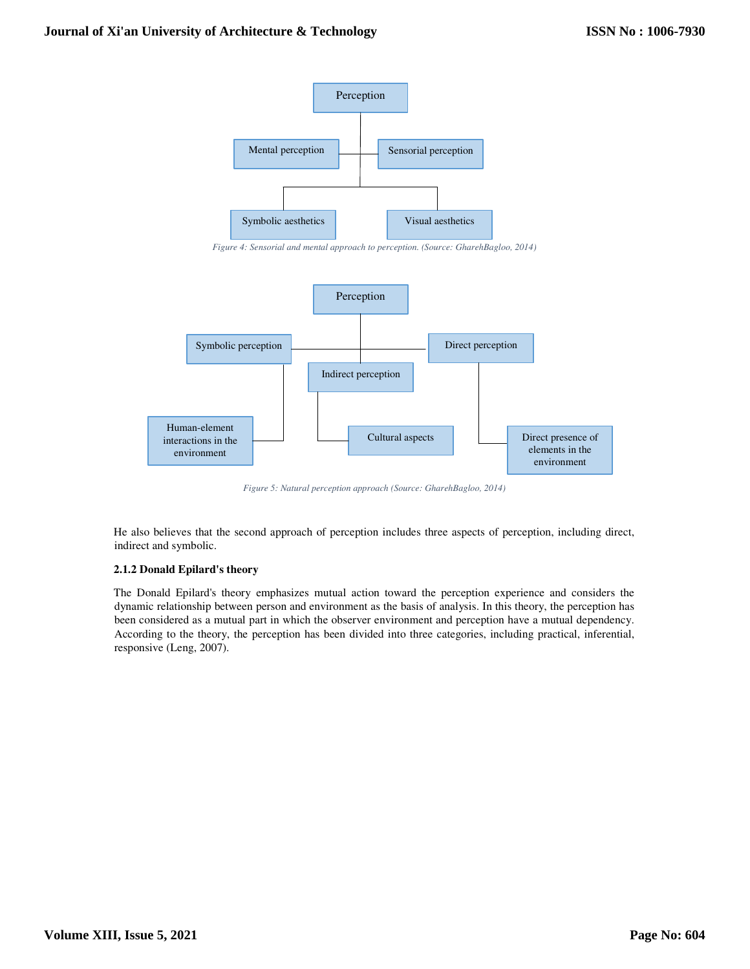

*Figure 4: Sensorial and mental approach to perception. (Source: GharehBagloo, 2014)* 



*Figure 5: Natural perception approach (Source: GharehBagloo, 2014)* 

He also believes that the second approach of perception includes three aspects of perception, including direct, indirect and symbolic.

# **2.1.2 Donald Epilard's theory**

The Donald Epilard's theory emphasizes mutual action toward the perception experience and considers the dynamic relationship between person and environment as the basis of analysis. In this theory, the perception has been considered as a mutual part in which the observer environment and perception have a mutual dependency. According to the theory, the perception has been divided into three categories, including practical, inferential, responsive (Leng, 2007).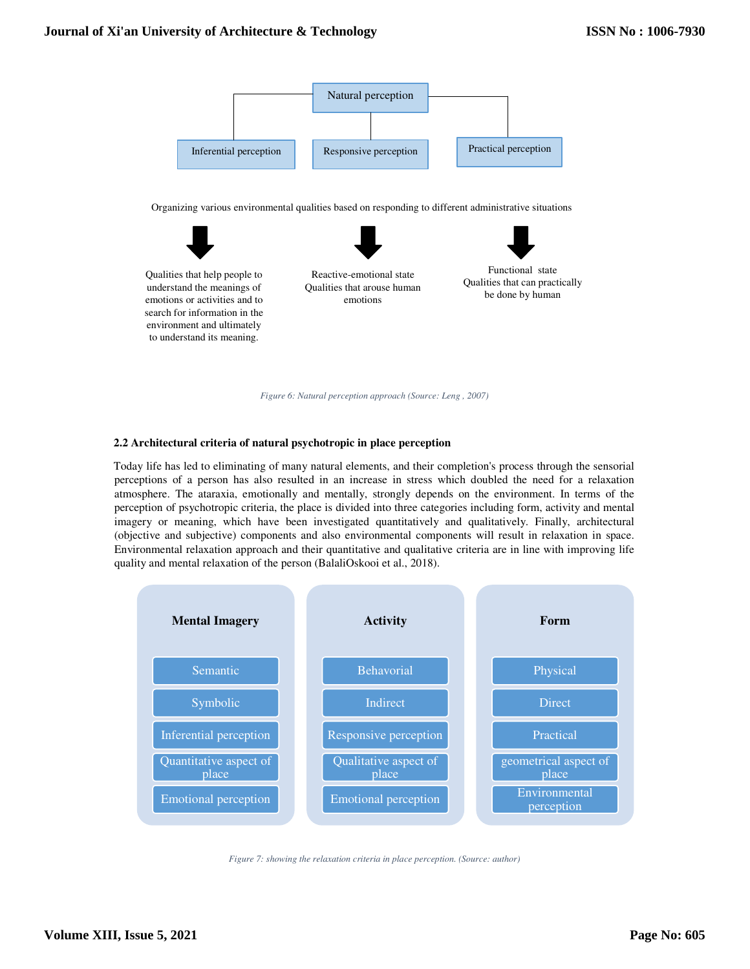

*Figure 6: Natural perception approach (Source: Leng , 2007)* 

# **2.2 Architectural criteria of natural psychotropic in place perception**

Today life has led to eliminating of many natural elements, and their completion's process through the sensorial perceptions of a person has also resulted in an increase in stress which doubled the need for a relaxation atmosphere. The ataraxia, emotionally and mentally, strongly depends on the environment. In terms of the perception of psychotropic criteria, the place is divided into three categories including form, activity and mental imagery or meaning, which have been investigated quantitatively and qualitatively. Finally, architectural (objective and subjective) components and also environmental components will result in relaxation in space. Environmental relaxation approach and their quantitative and qualitative criteria are in line with improving life quality and mental relaxation of the person (BalaliOskooi et al., 2018).



*Figure 7: showing the relaxation criteria in place perception. (Source: author)*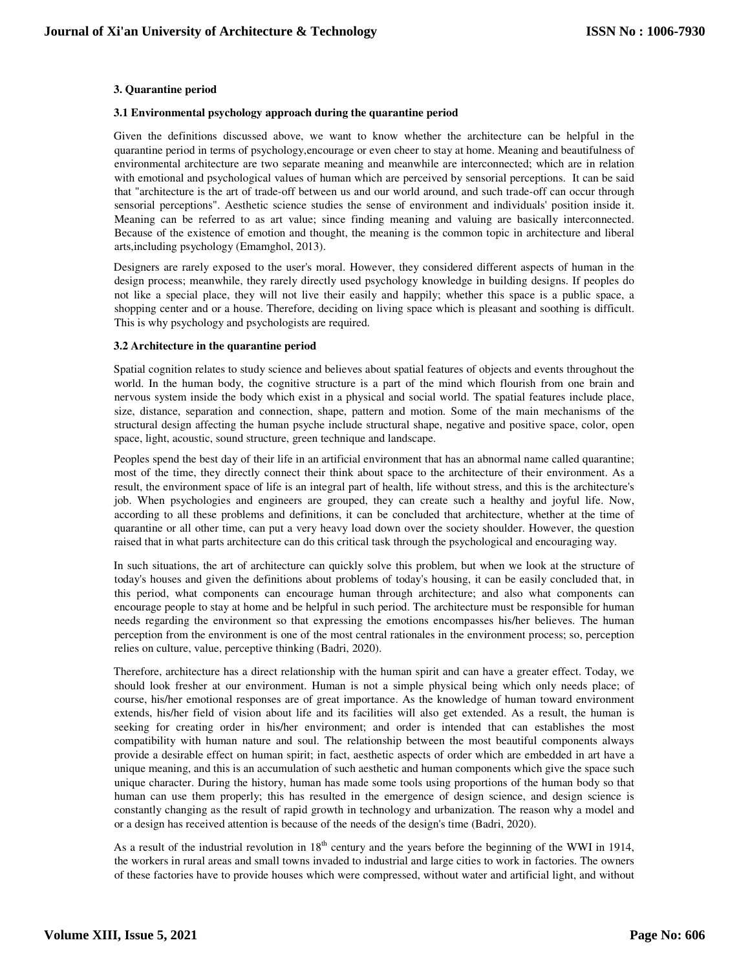### **3. Quarantine period**

#### **3.1 Environmental psychology approach during the quarantine period**

Given the definitions discussed above, we want to know whether the architecture can be helpful in the quarantine period in terms of psychology,encourage or even cheer to stay at home. Meaning and beautifulness of environmental architecture are two separate meaning and meanwhile are interconnected; which are in relation with emotional and psychological values of human which are perceived by sensorial perceptions. It can be said that "architecture is the art of trade-off between us and our world around, and such trade-off can occur through sensorial perceptions". Aesthetic science studies the sense of environment and individuals' position inside it. Meaning can be referred to as art value; since finding meaning and valuing are basically interconnected. Because of the existence of emotion and thought, the meaning is the common topic in architecture and liberal arts,including psychology (Emamghol, 2013).

Designers are rarely exposed to the user's moral. However, they considered different aspects of human in the design process; meanwhile, they rarely directly used psychology knowledge in building designs. If peoples do not like a special place, they will not live their easily and happily; whether this space is a public space, a shopping center and or a house. Therefore, deciding on living space which is pleasant and soothing is difficult. This is why psychology and psychologists are required.

#### **3.2 Architecture in the quarantine period**

Spatial cognition relates to study science and believes about spatial features of objects and events throughout the world. In the human body, the cognitive structure is a part of the mind which flourish from one brain and nervous system inside the body which exist in a physical and social world. The spatial features include place, size, distance, separation and connection, shape, pattern and motion. Some of the main mechanisms of the structural design affecting the human psyche include structural shape, negative and positive space, color, open space, light, acoustic, sound structure, green technique and landscape.

Peoples spend the best day of their life in an artificial environment that has an abnormal name called quarantine; most of the time, they directly connect their think about space to the architecture of their environment. As a result, the environment space of life is an integral part of health, life without stress, and this is the architecture's job. When psychologies and engineers are grouped, they can create such a healthy and joyful life. Now, according to all these problems and definitions, it can be concluded that architecture, whether at the time of quarantine or all other time, can put a very heavy load down over the society shoulder. However, the question raised that in what parts architecture can do this critical task through the psychological and encouraging way.

In such situations, the art of architecture can quickly solve this problem, but when we look at the structure of today's houses and given the definitions about problems of today's housing, it can be easily concluded that, in this period, what components can encourage human through architecture; and also what components can encourage people to stay at home and be helpful in such period. The architecture must be responsible for human needs regarding the environment so that expressing the emotions encompasses his/her believes. The human perception from the environment is one of the most central rationales in the environment process; so, perception relies on culture, value, perceptive thinking (Badri, 2020).

Therefore, architecture has a direct relationship with the human spirit and can have a greater effect. Today, we should look fresher at our environment. Human is not a simple physical being which only needs place; of course, his/her emotional responses are of great importance. As the knowledge of human toward environment extends, his/her field of vision about life and its facilities will also get extended. As a result, the human is seeking for creating order in his/her environment; and order is intended that can establishes the most compatibility with human nature and soul. The relationship between the most beautiful components always provide a desirable effect on human spirit; in fact, aesthetic aspects of order which are embedded in art have a unique meaning, and this is an accumulation of such aesthetic and human components which give the space such unique character. During the history, human has made some tools using proportions of the human body so that human can use them properly; this has resulted in the emergence of design science, and design science is constantly changing as the result of rapid growth in technology and urbanization. The reason why a model and or a design has received attention is because of the needs of the design's time (Badri, 2020).

As a result of the industrial revolution in  $18<sup>th</sup>$  century and the years before the beginning of the WWI in 1914, the workers in rural areas and small towns invaded to industrial and large cities to work in factories. The owners of these factories have to provide houses which were compressed, without water and artificial light, and without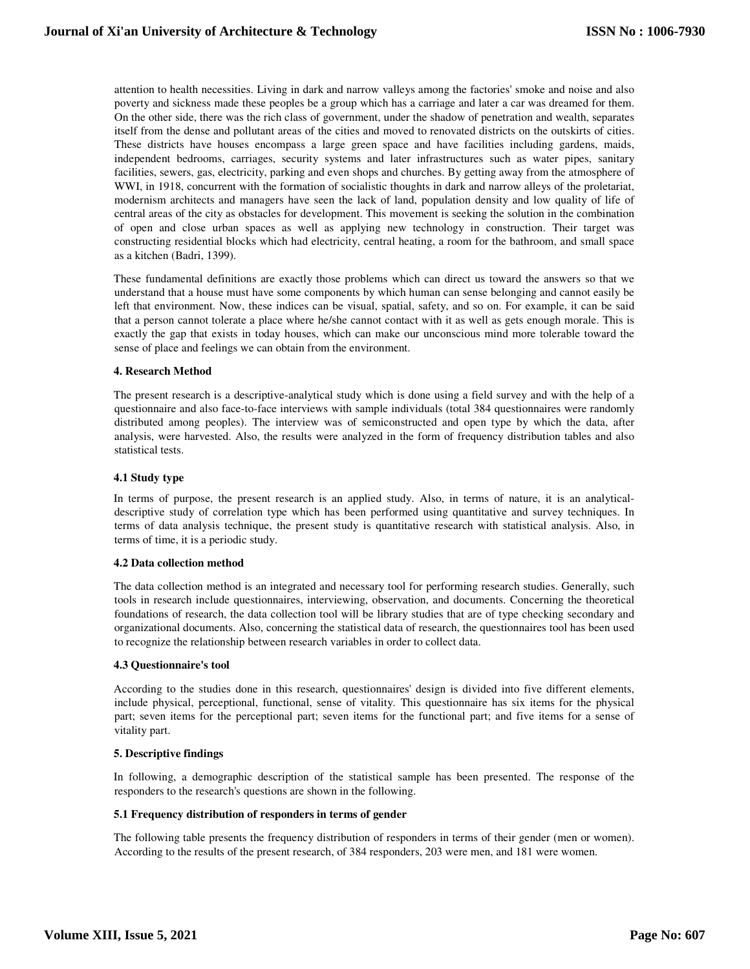attention to health necessities. Living in dark and narrow valleys among the factories' smoke and noise and also poverty and sickness made these peoples be a group which has a carriage and later a car was dreamed for them. On the other side, there was the rich class of government, under the shadow of penetration and wealth, separates itself from the dense and pollutant areas of the cities and moved to renovated districts on the outskirts of cities. These districts have houses encompass a large green space and have facilities including gardens, maids, independent bedrooms, carriages, security systems and later infrastructures such as water pipes, sanitary facilities, sewers, gas, electricity, parking and even shops and churches. By getting away from the atmosphere of WWI, in 1918, concurrent with the formation of socialistic thoughts in dark and narrow alleys of the proletariat, modernism architects and managers have seen the lack of land, population density and low quality of life of central areas of the city as obstacles for development. This movement is seeking the solution in the combination of open and close urban spaces as well as applying new technology in construction. Their target was constructing residential blocks which had electricity, central heating, a room for the bathroom, and small space as a kitchen (Badri, 1399).

These fundamental definitions are exactly those problems which can direct us toward the answers so that we understand that a house must have some components by which human can sense belonging and cannot easily be left that environment. Now, these indices can be visual, spatial, safety, and so on. For example, it can be said that a person cannot tolerate a place where he/she cannot contact with it as well as gets enough morale. This is exactly the gap that exists in today houses, which can make our unconscious mind more tolerable toward the sense of place and feelings we can obtain from the environment.

#### **4. Research Method**

The present research is a descriptive-analytical study which is done using a field survey and with the help of a questionnaire and also face-to-face interviews with sample individuals (total 384 questionnaires were randomly distributed among peoples). The interview was of semiconstructed and open type by which the data, after analysis, were harvested. Also, the results were analyzed in the form of frequency distribution tables and also statistical tests.

# **4.1 Study type**

In terms of purpose, the present research is an applied study. Also, in terms of nature, it is an analyticaldescriptive study of correlation type which has been performed using quantitative and survey techniques. In terms of data analysis technique, the present study is quantitative research with statistical analysis. Also, in terms of time, it is a periodic study.

#### **4.2 Data collection method**

The data collection method is an integrated and necessary tool for performing research studies. Generally, such tools in research include questionnaires, interviewing, observation, and documents. Concerning the theoretical foundations of research, the data collection tool will be library studies that are of type checking secondary and organizational documents. Also, concerning the statistical data of research, the questionnaires tool has been used to recognize the relationship between research variables in order to collect data.

#### **4.3 Questionnaire's tool**

According to the studies done in this research, questionnaires' design is divided into five different elements, include physical, perceptional, functional, sense of vitality. This questionnaire has six items for the physical part; seven items for the perceptional part; seven items for the functional part; and five items for a sense of vitality part.

# **5. Descriptive findings**

In following, a demographic description of the statistical sample has been presented. The response of the responders to the research's questions are shown in the following.

#### **5.1 Frequency distribution of responders in terms of gender**

The following table presents the frequency distribution of responders in terms of their gender (men or women). According to the results of the present research, of 384 responders, 203 were men, and 181 were women.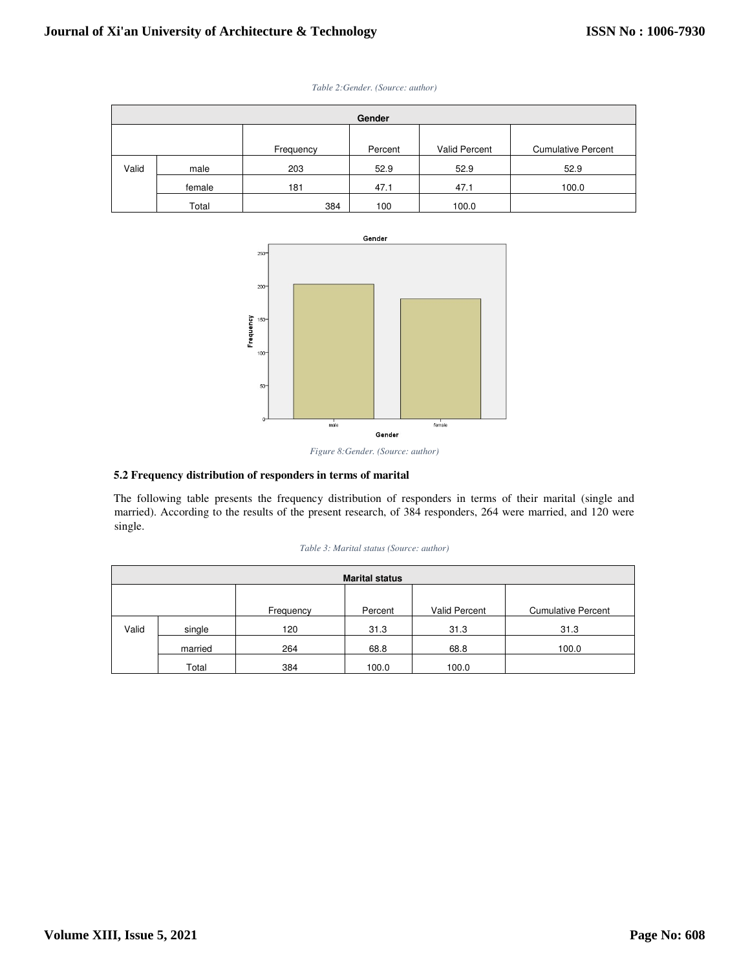| Gender |        |           |         |               |                           |  |  |
|--------|--------|-----------|---------|---------------|---------------------------|--|--|
|        |        |           |         |               |                           |  |  |
|        |        | Frequency | Percent | Valid Percent | <b>Cumulative Percent</b> |  |  |
| Valid  | male   | 203       | 52.9    | 52.9          | 52.9                      |  |  |
|        | female | 181       | 47.1    | 47.1          | 100.0                     |  |  |
|        | Total  | 384       | 100     | 100.0         |                           |  |  |



*Table 2:Gender. (Source: author)* 



# **5.2 Frequency distribution of responders in terms of marital**

The following table presents the frequency distribution of responders in terms of their marital (single and married). According to the results of the present research, of 384 responders, 264 were married, and 120 were single.

| <b>Marital status</b> |         |           |         |               |                           |  |  |
|-----------------------|---------|-----------|---------|---------------|---------------------------|--|--|
|                       |         |           |         |               |                           |  |  |
|                       |         | Frequency | Percent | Valid Percent | <b>Cumulative Percent</b> |  |  |
| Valid                 | single  | 120       | 31.3    | 31.3          | 31.3                      |  |  |
|                       | married | 264       | 68.8    | 68.8          | 100.0                     |  |  |
|                       | Total   | 384       | 100.0   | 100.0         |                           |  |  |

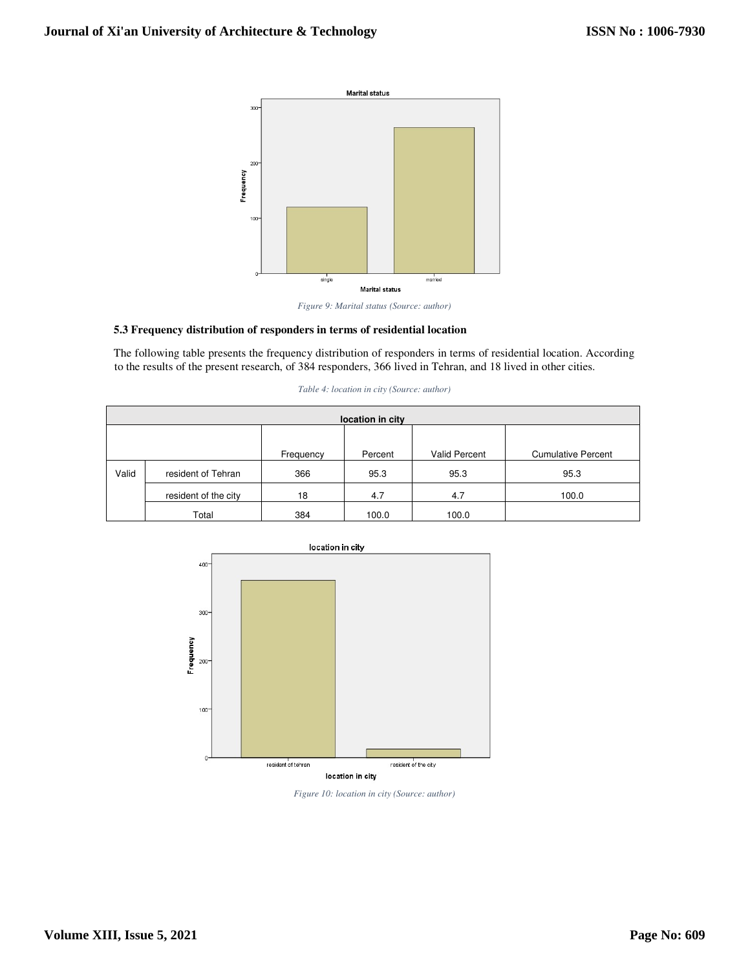



# **5.3 Frequency distribution of responders in terms of residential location**

The following table presents the frequency distribution of responders in terms of residential location. According to the results of the present research, of 384 responders, 366 lived in Tehran, and 18 lived in other cities.

| location in city |                      |           |         |               |                           |  |  |
|------------------|----------------------|-----------|---------|---------------|---------------------------|--|--|
|                  |                      |           |         |               |                           |  |  |
|                  |                      | Frequency | Percent | Valid Percent | <b>Cumulative Percent</b> |  |  |
| Valid            | resident of Tehran   | 366       | 95.3    | 95.3          | 95.3                      |  |  |
|                  | resident of the city | 18        | 4.7     | 4.7           | 100.0                     |  |  |
|                  | Total                | 384       | 100.0   | 100.0         |                           |  |  |

*Table 4: location in city (Source: author)* 



location in city

*Figure 10: location in city (Source: author)*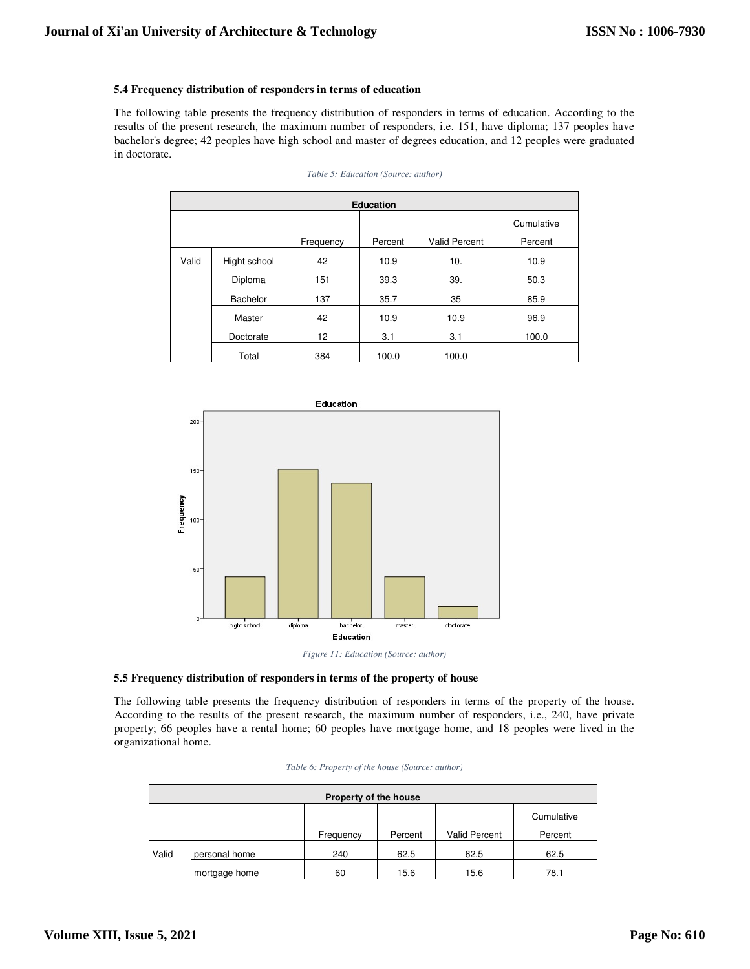# **5.4 Frequency distribution of responders in terms of education**

The following table presents the frequency distribution of responders in terms of education. According to the results of the present research, the maximum number of responders, i.e. 151, have diploma; 137 peoples have bachelor's degree; 42 peoples have high school and master of degrees education, and 12 peoples were graduated in doctorate.

| <b>Education</b> |              |           |         |               |            |  |  |
|------------------|--------------|-----------|---------|---------------|------------|--|--|
|                  |              |           |         |               | Cumulative |  |  |
|                  |              | Frequency | Percent | Valid Percent | Percent    |  |  |
| Valid            | Hight school | 42        | 10.9    | 10.           | 10.9       |  |  |
|                  | Diploma      | 151       | 39.3    | 39.           | 50.3       |  |  |
|                  | Bachelor     | 137       | 35.7    | 35            | 85.9       |  |  |
|                  | Master       | 42        | 10.9    | 10.9          | 96.9       |  |  |
|                  | Doctorate    | 12        | 3.1     | 3.1           | 100.0      |  |  |
|                  | Total        | 384       | 100.0   | 100.0         |            |  |  |

*Table 5: Education (Source: author)* 





The following table presents the frequency distribution of responders in terms of the property of the house. According to the results of the present research, the maximum number of responders, i.e., 240, have private property; 66 peoples have a rental home; 60 peoples have mortgage home, and 18 peoples were lived in the organizational home.

| Property of the house |               |           |         |               |            |  |  |  |
|-----------------------|---------------|-----------|---------|---------------|------------|--|--|--|
|                       |               |           |         |               | Cumulative |  |  |  |
|                       |               | Frequency | Percent | Valid Percent | Percent    |  |  |  |
| Valid                 | personal home | 240       | 62.5    | 62.5          | 62.5       |  |  |  |
|                       | mortgage home | 60        | 15.6    | 15.6          | 78.1       |  |  |  |

|  |  |  | Table 6: Property of the house (Source: author) |  |
|--|--|--|-------------------------------------------------|--|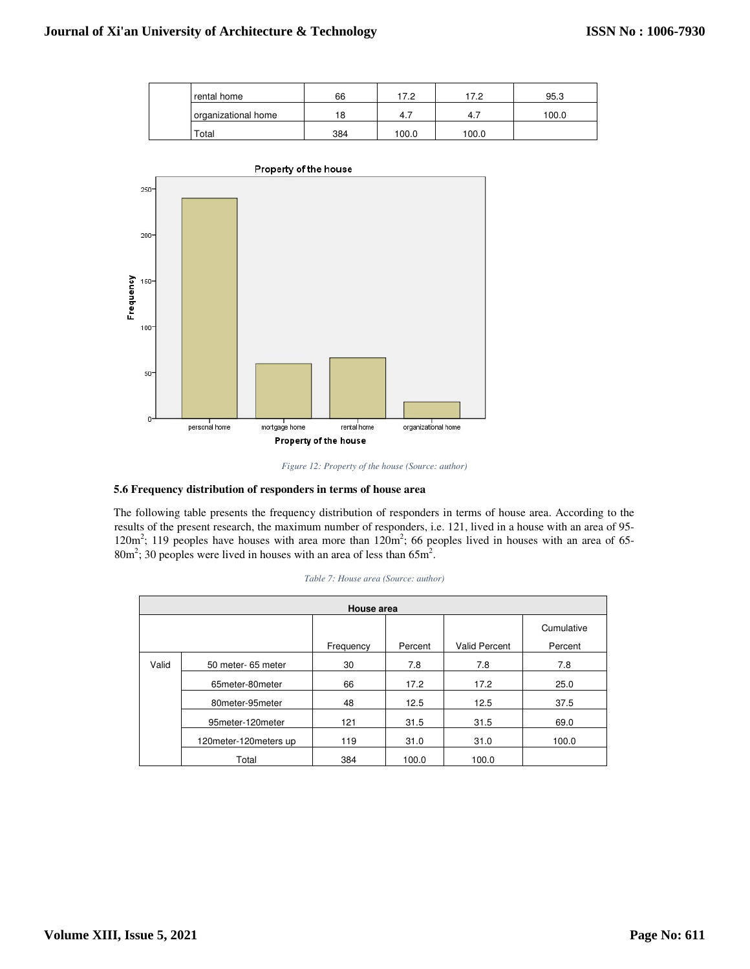| rental home         | 66  | 172   | 17.2  | 95.3  |
|---------------------|-----|-------|-------|-------|
| organizational home | 18  | -4. . | 4.7   | 100.0 |
| Total               | 384 | 100.0 | 100.0 |       |



*Figure 12: Property of the house (Source: author)* 

#### **5.6 Frequency distribution of responders in terms of house area**

The following table presents the frequency distribution of responders in terms of house area. According to the results of the present research, the maximum number of responders, i.e. 121, lived in a house with an area of 95-  $120m^2$ ; 119 peoples have houses with area more than  $120m^2$ ; 66 peoples lived in houses with an area of 65- $80m^2$ ; 30 peoples were lived in houses with an area of less than  $65m^2$ .

| House area |                         |           |         |                      |            |  |  |
|------------|-------------------------|-----------|---------|----------------------|------------|--|--|
|            |                         |           |         |                      | Cumulative |  |  |
|            |                         | Frequency | Percent | <b>Valid Percent</b> | Percent    |  |  |
| Valid      | 50 meter- 65 meter      | 30        | 7.8     | 7.8                  | 7.8        |  |  |
|            | 65meter-80meter         | 66        | 17.2    | 17.2                 | 25.0       |  |  |
|            | 80meter-95meter         | 48        | 12.5    | 12.5                 | 37.5       |  |  |
|            | 95meter-120meter        | 121       | 31.5    | 31.5                 | 69.0       |  |  |
|            | 120 meter-120 meters up | 119       | 31.0    | 31.0                 | 100.0      |  |  |
|            | Total                   | 384       | 100.0   | 100.0                |            |  |  |

|  |  | Table 7: House area (Source: author) |  |
|--|--|--------------------------------------|--|
|  |  |                                      |  |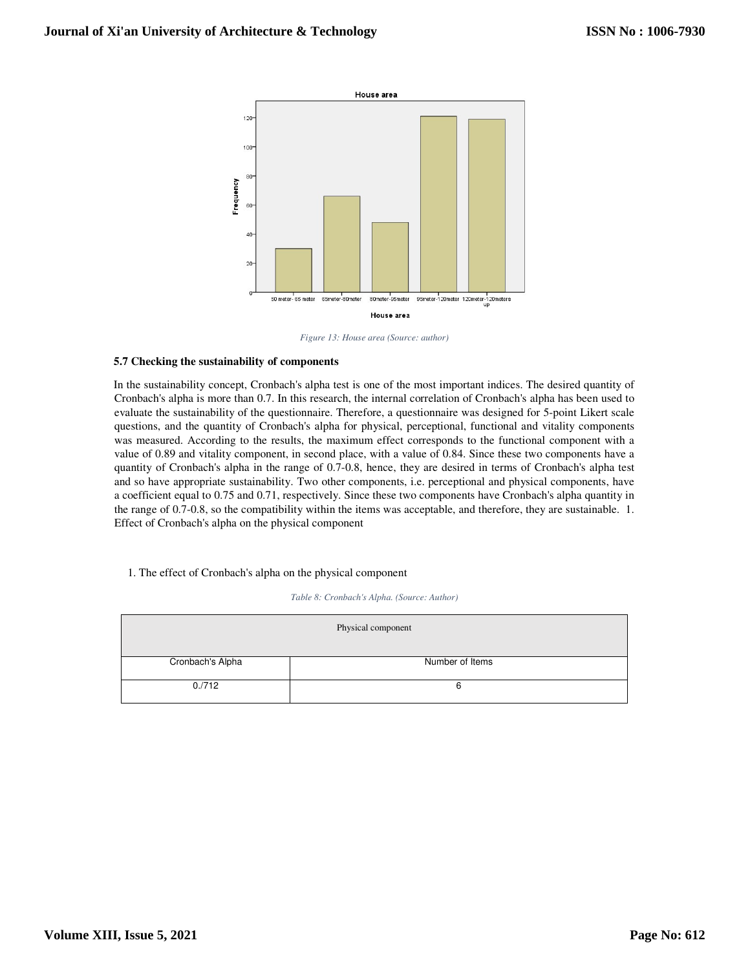

*Figure 13: House area (Source: author)* 

#### **5.7 Checking the sustainability of components**

In the sustainability concept, Cronbach's alpha test is one of the most important indices. The desired quantity of Cronbach's alpha is more than 0.7. In this research, the internal correlation of Cronbach's alpha has been used to evaluate the sustainability of the questionnaire. Therefore, a questionnaire was designed for 5-point Likert scale questions, and the quantity of Cronbach's alpha for physical, perceptional, functional and vitality components was measured. According to the results, the maximum effect corresponds to the functional component with a value of 0.89 and vitality component, in second place, with a value of 0.84. Since these two components have a quantity of Cronbach's alpha in the range of 0.7-0.8, hence, they are desired in terms of Cronbach's alpha test and so have appropriate sustainability. Two other components, i.e. perceptional and physical components, have a coefficient equal to 0.75 and 0.71, respectively. Since these two components have Cronbach's alpha quantity in the range of 0.7-0.8, so the compatibility within the items was acceptable, and therefore, they are sustainable. 1. Effect of Cronbach's alpha on the physical component

# 1. The effect of Cronbach's alpha on the physical component

| Table 8: Cronbach's Alpha. (Source: Author) |  |
|---------------------------------------------|--|
|---------------------------------------------|--|

| Physical component |                 |  |  |  |  |  |
|--------------------|-----------------|--|--|--|--|--|
| Cronbach's Alpha   | Number of Items |  |  |  |  |  |
| 0.712              | 6               |  |  |  |  |  |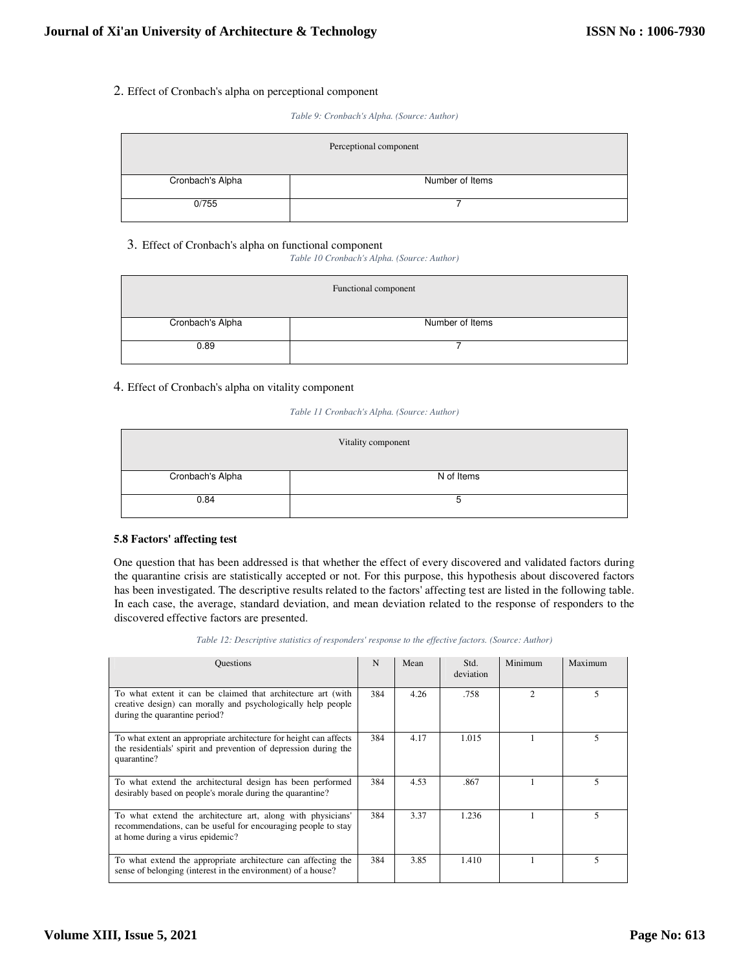# 2. Effect of Cronbach's alpha on perceptional component

*Table 9: Cronbach's Alpha. (Source: Author)* 

| Perceptional component |                 |  |  |  |  |
|------------------------|-----------------|--|--|--|--|
| Cronbach's Alpha       | Number of Items |  |  |  |  |
| 0/755                  |                 |  |  |  |  |

# 3. Effect of Cronbach's alpha on functional component

*Table 10 Cronbach's Alpha. (Source: Author)* 

| Functional component |                 |  |  |  |  |
|----------------------|-----------------|--|--|--|--|
| Cronbach's Alpha     | Number of Items |  |  |  |  |
| 0.89                 |                 |  |  |  |  |

# 4. Effect of Cronbach's alpha on vitality component

# *Table 11 Cronbach's Alpha. (Source: Author)*

| Vitality component |            |  |  |  |  |
|--------------------|------------|--|--|--|--|
| Cronbach's Alpha   | N of Items |  |  |  |  |
| 0.84               | G          |  |  |  |  |

# **5.8 Factors' affecting test**

One question that has been addressed is that whether the effect of every discovered and validated factors during the quarantine crisis are statistically accepted or not. For this purpose, this hypothesis about discovered factors has been investigated. The descriptive results related to the factors' affecting test are listed in the following table. In each case, the average, standard deviation, and mean deviation related to the response of responders to the discovered effective factors are presented.

| <b>Ouestions</b>                                                                                                                                                 | N   | Mean | Std.<br>deviation | Minimum       | Maximum |
|------------------------------------------------------------------------------------------------------------------------------------------------------------------|-----|------|-------------------|---------------|---------|
| To what extent it can be claimed that architecture art (with<br>creative design) can morally and psychologically help people<br>during the quarantine period?    | 384 | 4.26 | .758              | $\mathcal{L}$ | 5       |
| To what extent an appropriate architecture for height can affects<br>the residentials' spirit and prevention of depression during the<br>quarantine?             | 384 | 4.17 | 1.015             |               |         |
| To what extend the architectural design has been performed<br>desirably based on people's morale during the quarantine?                                          | 384 | 4.53 | .867              |               | 5       |
| To what extend the architecture art, along with physicians'<br>recommendations, can be useful for encouraging people to stay<br>at home during a virus epidemic? | 384 | 3.37 | 1.236             |               | 5       |
| To what extend the appropriate architecture can affecting the<br>sense of belonging (interest in the environment) of a house?                                    | 384 | 3.85 | 1.410             |               |         |

*Table 12: Descriptive statistics of responders' response to the effective factors. (Source: Author)*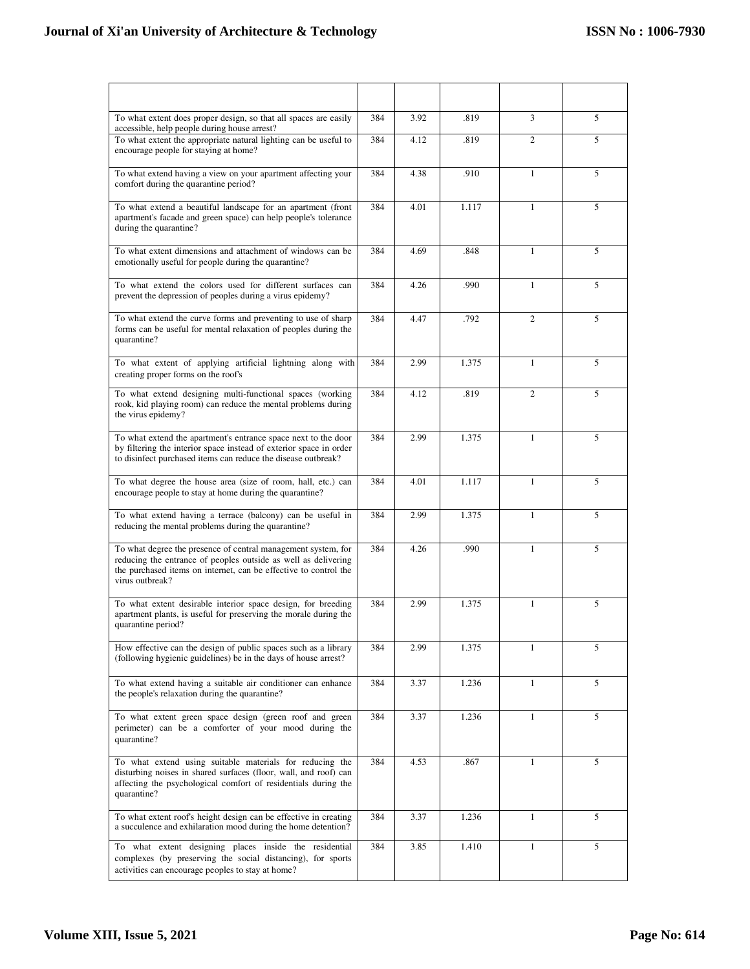# **Journal of Xi'an University of Architecture & Technology**

| To what extent does proper design, so that all spaces are easily<br>accessible, help people during house arrest?                                                                                                       | 384 | 3.92 | .819  | 3              | 5 |
|------------------------------------------------------------------------------------------------------------------------------------------------------------------------------------------------------------------------|-----|------|-------|----------------|---|
| To what extent the appropriate natural lighting can be useful to<br>encourage people for staying at home?                                                                                                              | 384 | 4.12 | .819  | $\mathfrak{2}$ | 5 |
| To what extend having a view on your apartment affecting your<br>comfort during the quarantine period?                                                                                                                 | 384 | 4.38 | .910  | $\mathbf{1}$   | 5 |
| To what extend a beautiful landscape for an apartment (front<br>apartment's facade and green space) can help people's tolerance<br>during the quarantine?                                                              | 384 | 4.01 | 1.117 | 1              | 5 |
| To what extent dimensions and attachment of windows can be<br>emotionally useful for people during the quarantine?                                                                                                     | 384 | 4.69 | .848  | $\mathbf{1}$   | 5 |
| To what extend the colors used for different surfaces can<br>prevent the depression of peoples during a virus epidemy?                                                                                                 | 384 | 4.26 | .990  | $\mathbf{1}$   | 5 |
| To what extend the curve forms and preventing to use of sharp<br>forms can be useful for mental relaxation of peoples during the<br>quarantine?                                                                        | 384 | 4.47 | .792  | $\overline{2}$ | 5 |
| To what extent of applying artificial lightning along with<br>creating proper forms on the roof's                                                                                                                      | 384 | 2.99 | 1.375 | $\mathbf{1}$   | 5 |
| To what extend designing multi-functional spaces (working<br>rook, kid playing room) can reduce the mental problems during<br>the virus epidemy?                                                                       | 384 | 4.12 | .819  | $\overline{2}$ | 5 |
| To what extend the apartment's entrance space next to the door<br>by filtering the interior space instead of exterior space in order<br>to disinfect purchased items can reduce the disease outbreak?                  | 384 | 2.99 | 1.375 | $\mathbf{1}$   | 5 |
| To what degree the house area (size of room, hall, etc.) can<br>encourage people to stay at home during the quarantine?                                                                                                | 384 | 4.01 | 1.117 | $\mathbf{1}$   | 5 |
| To what extend having a terrace (balcony) can be useful in<br>reducing the mental problems during the quarantine?                                                                                                      | 384 | 2.99 | 1.375 | $\mathbf{1}$   | 5 |
| To what degree the presence of central management system, for<br>reducing the entrance of peoples outside as well as delivering<br>the purchased items on internet, can be effective to control the<br>virus outbreak? | 384 | 4.26 | .990  | $\mathbf{1}$   | 5 |
| To what extent desirable interior space design, for breeding<br>apartment plants, is useful for preserving the morale during the<br>quarantine period?                                                                 | 384 | 2.99 | 1.375 | $\mathbf{1}$   | 5 |
| How effective can the design of public spaces such as a library<br>(following hygienic guidelines) be in the days of house arrest?                                                                                     | 384 | 2.99 | 1.375 | $\mathbf{1}$   | 5 |
| To what extend having a suitable air conditioner can enhance<br>the people's relaxation during the quarantine?                                                                                                         | 384 | 3.37 | 1.236 | $\mathbf{1}$   | 5 |
| To what extent green space design (green roof and green<br>perimeter) can be a comforter of your mood during the<br>quarantine?                                                                                        | 384 | 3.37 | 1.236 | $\mathbf{1}$   | 5 |
| To what extend using suitable materials for reducing the<br>disturbing noises in shared surfaces (floor, wall, and roof) can<br>affecting the psychological comfort of residentials during the<br>quarantine?          | 384 | 4.53 | .867  | $\mathbf{1}$   | 5 |
| To what extent roof's height design can be effective in creating<br>a succulence and exhilaration mood during the home detention?                                                                                      | 384 | 3.37 | 1.236 | $\mathbf{1}$   | 5 |
| To what extent designing places inside the residential<br>complexes (by preserving the social distancing), for sports<br>activities can encourage peoples to stay at home?                                             | 384 | 3.85 | 1.410 | 1              | 5 |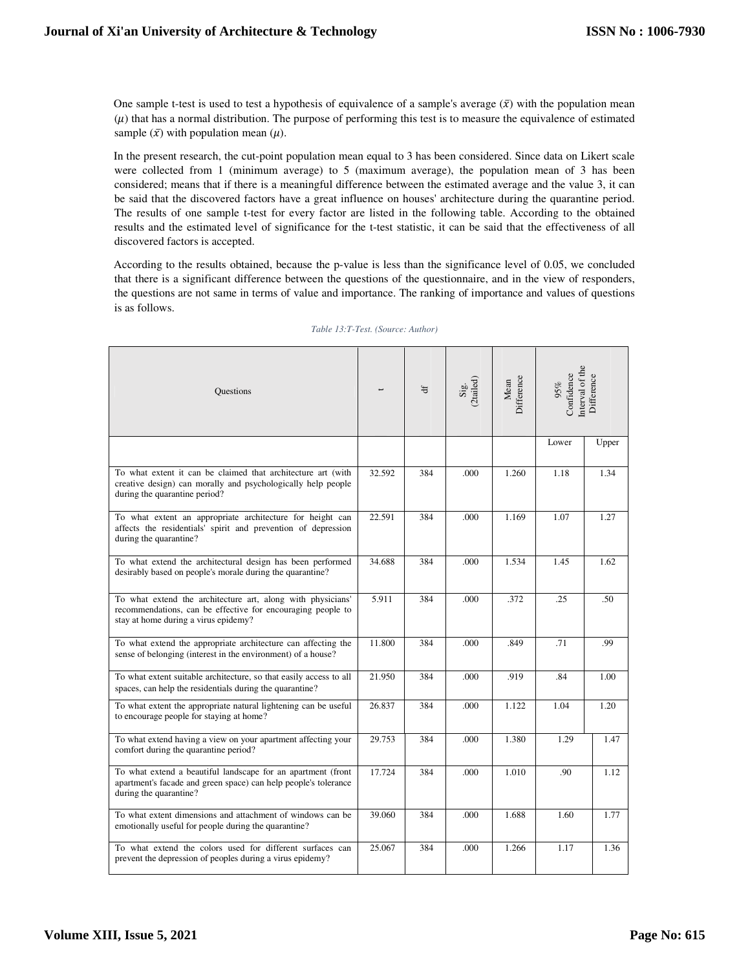One sample t-test is used to test a hypothesis of equivalence of a sample's average  $(\bar{x})$  with the population mean  $(\mu)$  that has a normal distribution. The purpose of performing this test is to measure the equivalence of estimated sample  $(\bar{x})$  with population mean  $(\mu)$ .

In the present research, the cut-point population mean equal to 3 has been considered. Since data on Likert scale were collected from 1 (minimum average) to 5 (maximum average), the population mean of 3 has been considered; means that if there is a meaningful difference between the estimated average and the value 3, it can be said that the discovered factors have a great influence on houses' architecture during the quarantine period. The results of one sample t-test for every factor are listed in the following table. According to the obtained results and the estimated level of significance for the t-test statistic, it can be said that the effectiveness of all discovered factors is accepted.

According to the results obtained, because the p-value is less than the significance level of 0.05, we concluded that there is a significant difference between the questions of the questionnaire, and in the view of responders, the questions are not same in terms of value and importance. The ranking of importance and values of questions is as follows.

| <b>Questions</b>                                                                                                                                                   |        | $\ddot{a}$ | Sig.<br>(2tailed) | Difference<br>Mean | nterval of the<br>Confidence<br>$95\%$ | Difference |
|--------------------------------------------------------------------------------------------------------------------------------------------------------------------|--------|------------|-------------------|--------------------|----------------------------------------|------------|
|                                                                                                                                                                    |        |            |                   |                    | Lower                                  | Upper      |
| To what extent it can be claimed that architecture art (with<br>creative design) can morally and psychologically help people<br>during the quarantine period?      | 32.592 | 384        | .000              | 1.260              | 1.18                                   | 1.34       |
| To what extent an appropriate architecture for height can<br>affects the residentials' spirit and prevention of depression<br>during the quarantine?               | 22.591 | 384        | .000              | 1.169              | 1.07                                   | 1.27       |
| To what extend the architectural design has been performed<br>desirably based on people's morale during the quarantine?                                            | 34.688 | 384        | .000              | 1.534              | 1.45                                   | 1.62       |
| To what extend the architecture art, along with physicians'<br>recommendations, can be effective for encouraging people to<br>stay at home during a virus epidemy? | 5.911  | 384        | .000              | .372               | .25                                    | .50        |
| To what extend the appropriate architecture can affecting the<br>sense of belonging (interest in the environment) of a house?                                      | 11.800 | 384        | .000              | .849               | .71                                    | .99        |
| To what extent suitable architecture, so that easily access to all<br>spaces, can help the residentials during the quarantine?                                     | 21.950 | 384        | .000              | .919               | .84                                    | 1.00       |
| To what extent the appropriate natural lightening can be useful<br>to encourage people for staying at home?                                                        | 26.837 | 384        | .000              | 1.122              | 1.04                                   | 1.20       |
| To what extend having a view on your apartment affecting your<br>comfort during the quarantine period?                                                             | 29.753 | 384        | .000              | 1.380              | 1.29                                   | 1.47       |
| To what extend a beautiful landscape for an apartment (front<br>apartment's facade and green space) can help people's tolerance<br>during the quarantine?          | 17.724 | 384        | .000              | 1.010              | .90<br>1.12                            |            |
| To what extent dimensions and attachment of windows can be<br>emotionally useful for people during the quarantine?                                                 | 39.060 | 384        | .000              | 1.688              | 1.60                                   | 1.77       |
| To what extend the colors used for different surfaces can<br>prevent the depression of peoples during a virus epidemy?                                             | 25.067 | 384        | .000              | 1.266              | 1.17                                   | 1.36       |

#### *Table 13:T-Test. (Source: Author)*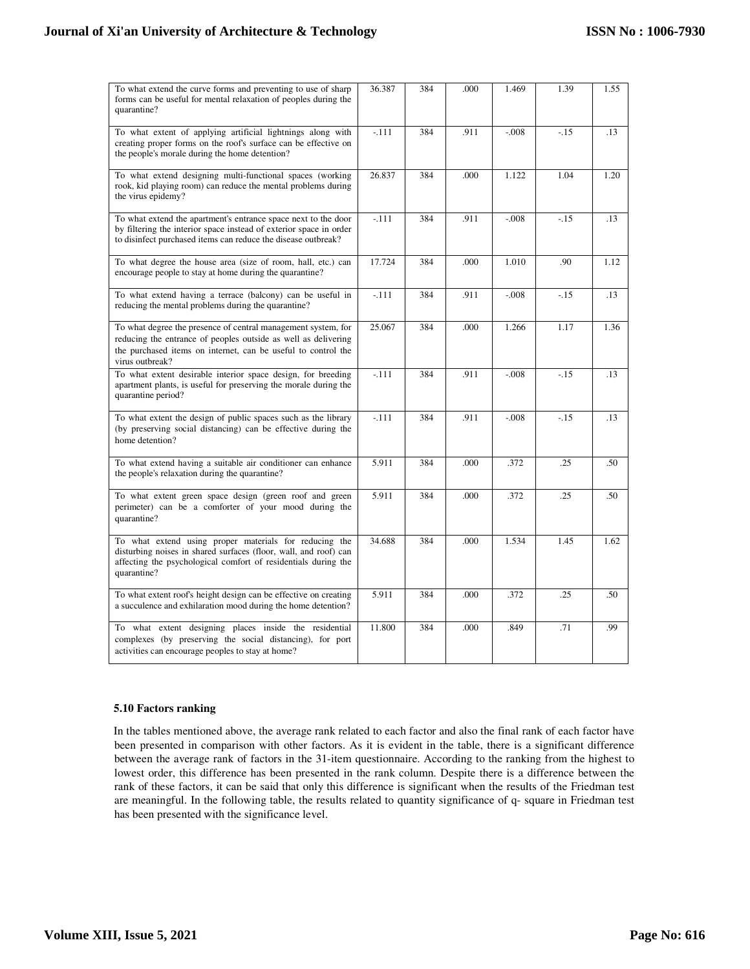| To what extend the curve forms and preventing to use of sharp<br>forms can be useful for mental relaxation of peoples during the<br>quarantine?                                                                     | 36.387  | 384 | .000 | 1.469    | 1.39   | 1.55 |
|---------------------------------------------------------------------------------------------------------------------------------------------------------------------------------------------------------------------|---------|-----|------|----------|--------|------|
| To what extent of applying artificial lightnings along with<br>creating proper forms on the roof's surface can be effective on<br>the people's morale during the home detention?                                    | $-.111$ | 384 | .911 | $-0.008$ | $-.15$ | .13  |
| To what extend designing multi-functional spaces (working<br>rook, kid playing room) can reduce the mental problems during<br>the virus epidemy?                                                                    | 26.837  | 384 | .000 | 1.122    | 1.04   | 1.20 |
| To what extend the apartment's entrance space next to the door<br>by filtering the interior space instead of exterior space in order<br>to disinfect purchased items can reduce the disease outbreak?               | $-.111$ | 384 | .911 | $-.008$  | $-.15$ | .13  |
| To what degree the house area (size of room, hall, etc.) can<br>encourage people to stay at home during the quarantine?                                                                                             | 17.724  | 384 | .000 | 1.010    | .90    | 1.12 |
| To what extend having a terrace (balcony) can be useful in<br>reducing the mental problems during the quarantine?                                                                                                   | $-.111$ | 384 | .911 | $-.008$  | $-.15$ | .13  |
| To what degree the presence of central management system, for<br>reducing the entrance of peoples outside as well as delivering<br>the purchased items on internet, can be useful to control the<br>virus outbreak? | 25.067  | 384 | .000 | 1.266    | 1.17   | 1.36 |
| To what extent desirable interior space design, for breeding<br>apartment plants, is useful for preserving the morale during the<br>quarantine period?                                                              | $-.111$ | 384 | .911 | $-.008$  | $-.15$ | .13  |
| To what extent the design of public spaces such as the library<br>(by preserving social distancing) can be effective during the<br>home detention?                                                                  | $-.111$ | 384 | .911 | $-0.008$ | $-.15$ | .13  |
| To what extend having a suitable air conditioner can enhance<br>the people's relaxation during the quarantine?                                                                                                      | 5.911   | 384 | .000 | .372     | .25    | .50  |
| To what extent green space design (green roof and green<br>perimeter) can be a comforter of your mood during the<br>quarantine?                                                                                     | 5.911   | 384 | .000 | .372     | .25    | .50  |
| To what extend using proper materials for reducing the<br>disturbing noises in shared surfaces (floor, wall, and roof) can<br>affecting the psychological comfort of residentials during the<br>quarantine?         | 34.688  | 384 | .000 | 1.534    | 1.45   | 1.62 |
| To what extent roof's height design can be effective on creating<br>a succulence and exhilaration mood during the home detention?                                                                                   | 5.911   | 384 | .000 | .372     | .25    | .50  |
| To what extent designing places inside the residential<br>complexes (by preserving the social distancing), for port<br>activities can encourage peoples to stay at home?                                            | 11.800  | 384 | .000 | .849     | .71    | .99  |

# **5.10 Factors ranking**

In the tables mentioned above, the average rank related to each factor and also the final rank of each factor have been presented in comparison with other factors. As it is evident in the table, there is a significant difference between the average rank of factors in the 31-item questionnaire. According to the ranking from the highest to lowest order, this difference has been presented in the rank column. Despite there is a difference between the rank of these factors, it can be said that only this difference is significant when the results of the Friedman test are meaningful. In the following table, the results related to quantity significance of q- square in Friedman test has been presented with the significance level.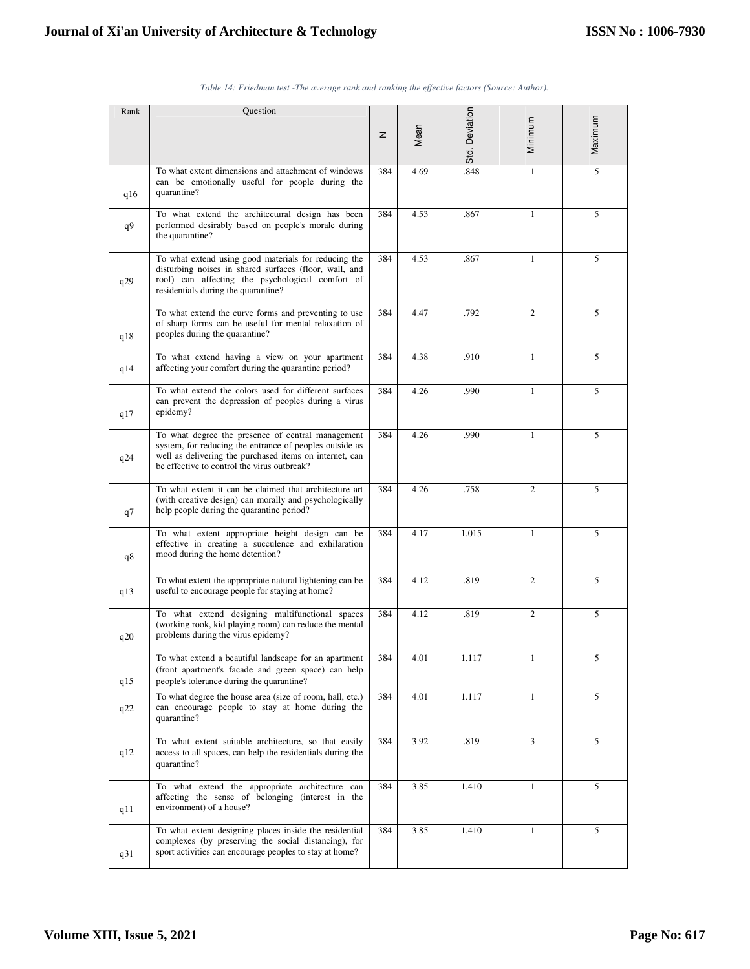| Rank | Question                                                                                                                                                                                                               |              |      |                |                |         |
|------|------------------------------------------------------------------------------------------------------------------------------------------------------------------------------------------------------------------------|--------------|------|----------------|----------------|---------|
|      |                                                                                                                                                                                                                        | $\mathbf{z}$ | Mean | Std. Deviation | Minimum        | Maximum |
| q16  | To what extent dimensions and attachment of windows<br>can be emotionally useful for people during the<br>quarantine?                                                                                                  | 384          | 4.69 | .848           | $\mathbf{1}$   | 5       |
| q9   | To what extend the architectural design has been<br>performed desirably based on people's morale during<br>the quarantine?                                                                                             | 384          | 4.53 | .867           | $\mathbf{1}$   | 5       |
| q29  | To what extend using good materials for reducing the<br>disturbing noises in shared surfaces (floor, wall, and<br>roof) can affecting the psychological comfort of<br>residentials during the quarantine?              | 384          | 4.53 | .867           | $\mathbf{1}$   | 5       |
| q18  | To what extend the curve forms and preventing to use<br>of sharp forms can be useful for mental relaxation of<br>peoples during the quarantine?                                                                        | 384          | 4.47 | .792           | $\overline{2}$ | 5       |
| q14  | To what extend having a view on your apartment<br>affecting your comfort during the quarantine period?                                                                                                                 | 384          | 4.38 | .910           | $\mathbf{1}$   | 5       |
| q17  | To what extend the colors used for different surfaces<br>can prevent the depression of peoples during a virus<br>epidemy?                                                                                              | 384          | 4.26 | .990           | 1              | 5       |
| q24  | To what degree the presence of central management<br>system, for reducing the entrance of peoples outside as<br>well as delivering the purchased items on internet, can<br>be effective to control the virus outbreak? | 384          | 4.26 | .990           | $\mathbf{1}$   | 5       |
| q7   | To what extent it can be claimed that architecture art<br>(with creative design) can morally and psychologically<br>help people during the quarantine period?                                                          | 384          | 4.26 | .758           | $\overline{2}$ | 5       |
| q8   | To what extent appropriate height design can be<br>effective in creating a succulence and exhilaration<br>mood during the home detention?                                                                              | 384          | 4.17 | 1.015          | $\mathbf{1}$   | 5       |
| q13  | To what extent the appropriate natural lightening can be<br>useful to encourage people for staying at home?                                                                                                            | 384          | 4.12 | .819           | $\overline{c}$ | 5       |
| q20  | To what extend designing multifunctional spaces<br>(working rook, kid playing room) can reduce the mental<br>problems during the virus epidemy?                                                                        | 384          | 4.12 | .819           | $\overline{c}$ | 5       |
| q15  | To what extend a beautiful landscape for an apartment<br>(front apartment's facade and green space) can help<br>people's tolerance during the quarantine?                                                              | 384          | 4.01 | 1.117          | $\mathbf{1}$   | 5       |
| q22  | To what degree the house area (size of room, hall, etc.)<br>can encourage people to stay at home during the<br>quarantine?                                                                                             | 384          | 4.01 | 1.117          | $\mathbf{1}$   | 5       |
| q12  | To what extent suitable architecture, so that easily<br>access to all spaces, can help the residentials during the<br>quarantine?                                                                                      | 384          | 3.92 | .819           | 3              | 5       |
| q11  | To what extend the appropriate architecture can<br>affecting the sense of belonging (interest in the<br>environment) of a house?                                                                                       | 384          | 3.85 | 1.410          | 1              | 5       |
| q31  | To what extent designing places inside the residential<br>complexes (by preserving the social distancing), for<br>sport activities can encourage peoples to stay at home?                                              | 384          | 3.85 | 1.410          | $\mathbf{1}$   | 5       |

|  | Table 14: Friedman test -The average rank and ranking the effective factors (Source: Author). |  |  |  |  |  |
|--|-----------------------------------------------------------------------------------------------|--|--|--|--|--|
|  |                                                                                               |  |  |  |  |  |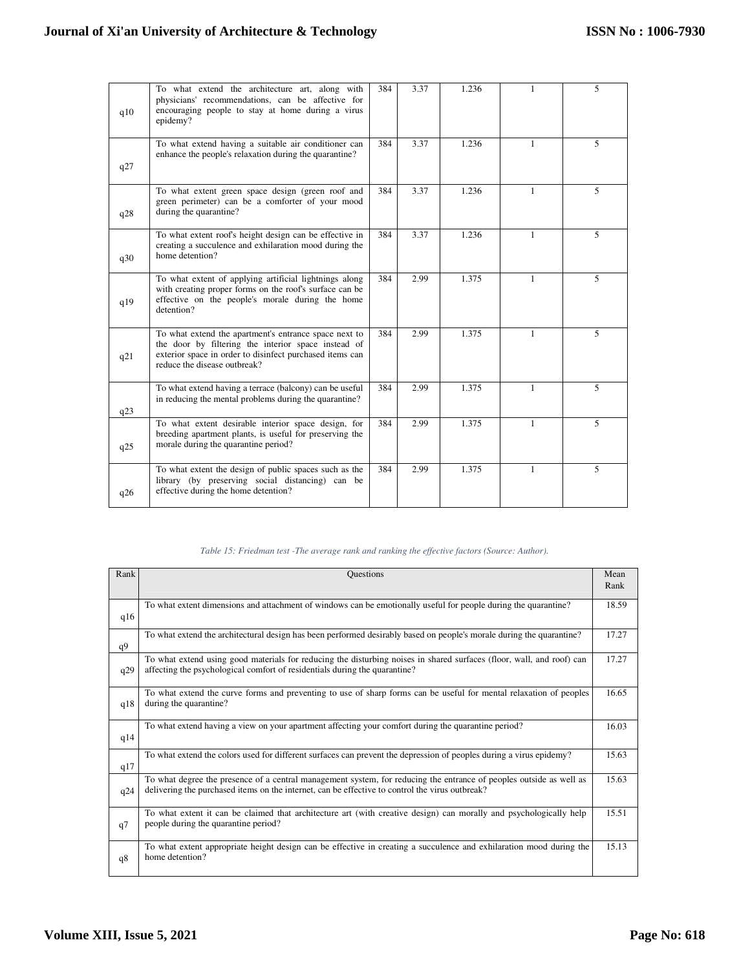| q10 | To what extend the architecture art, along with<br>physicians' recommendations, can be affective for<br>encouraging people to stay at home during a virus<br>epidemy?                                    | 384 | 3.37 | 1.236 | 1            | 5 |
|-----|----------------------------------------------------------------------------------------------------------------------------------------------------------------------------------------------------------|-----|------|-------|--------------|---|
| q27 | To what extend having a suitable air conditioner can<br>enhance the people's relaxation during the quarantine?                                                                                           | 384 | 3.37 | 1.236 | $\mathbf{1}$ | 5 |
| q28 | To what extent green space design (green roof and<br>green perimeter) can be a comforter of your mood<br>during the quarantine?                                                                          | 384 | 3.37 | 1.236 | 1            | 5 |
| q30 | To what extent roof's height design can be effective in<br>creating a succulence and exhilaration mood during the<br>home detention?                                                                     | 384 | 3.37 | 1.236 | $\mathbf{1}$ | 5 |
| q19 | To what extent of applying artificial lightnings along<br>with creating proper forms on the roof's surface can be<br>effective on the people's morale during the home<br>detention?                      | 384 | 2.99 | 1.375 | $\mathbf{1}$ | 5 |
| q21 | To what extend the apartment's entrance space next to<br>the door by filtering the interior space instead of<br>exterior space in order to disinfect purchased items can<br>reduce the disease outbreak? | 384 | 2.99 | 1.375 | 1            | 5 |
| q23 | To what extend having a terrace (balcony) can be useful<br>in reducing the mental problems during the quarantine?                                                                                        | 384 | 2.99 | 1.375 | 1            | 5 |
| q25 | To what extent desirable interior space design, for<br>breeding apartment plants, is useful for preserving the<br>morale during the quarantine period?                                                   | 384 | 2.99 | 1.375 | 1            | 5 |
| q26 | To what extent the design of public spaces such as the<br>library (by preserving social distancing) can be<br>effective during the home detention?                                                       | 384 | 2.99 | 1.375 | 1            | 5 |

# *Table 15: Friedman test -The average rank and ranking the effective factors (Source: Author).*

| Rank | <b>Questions</b>                                                                                                                                                                                                       | Mean<br>Rank |
|------|------------------------------------------------------------------------------------------------------------------------------------------------------------------------------------------------------------------------|--------------|
| q16  | To what extent dimensions and attachment of windows can be emotionally useful for people during the quarantine?                                                                                                        | 18.59        |
| q9   | To what extend the architectural design has been performed desirably based on people's morale during the quarantine?                                                                                                   | 17.27        |
| q29  | To what extend using good materials for reducing the disturbing noises in shared surfaces (floor, wall, and roof) can<br>affecting the psychological comfort of residentials during the quarantine?                    | 17.27        |
| q18  | To what extend the curve forms and preventing to use of sharp forms can be useful for mental relaxation of peoples<br>during the quarantine?                                                                           | 16.65        |
| q14  | To what extend having a view on your apartment affecting your comfort during the quarantine period?                                                                                                                    | 16.03        |
| q17  | To what extend the colors used for different surfaces can prevent the depression of peoples during a virus epidemy?                                                                                                    | 15.63        |
| q24  | To what degree the presence of a central management system, for reducing the entrance of peoples outside as well as<br>delivering the purchased items on the internet, can be effective to control the virus outbreak? | 15.63        |
| q7   | To what extent it can be claimed that architecture art (with creative design) can morally and psychologically help<br>people during the quarantine period?                                                             | 15.51        |
| q8   | To what extent appropriate height design can be effective in creating a succulence and exhilaration mood during the<br>home detention?                                                                                 | 15.13        |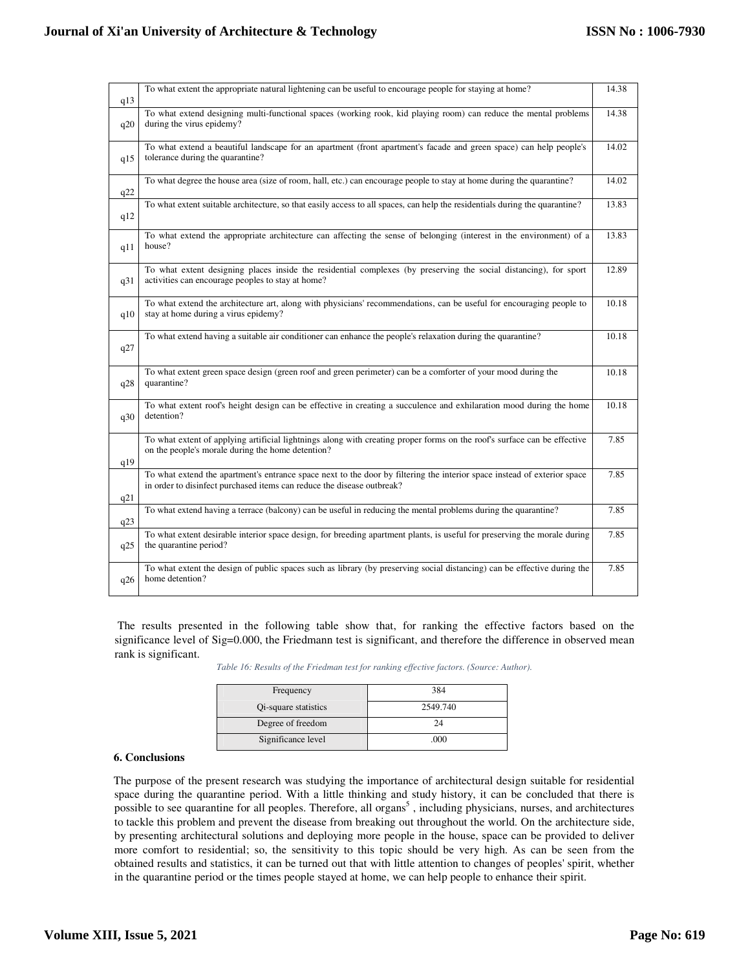| q13 | To what extent the appropriate natural lightening can be useful to encourage people for staying at home?                                                                                           | 14.38 |
|-----|----------------------------------------------------------------------------------------------------------------------------------------------------------------------------------------------------|-------|
| q20 | To what extend designing multi-functional spaces (working rook, kid playing room) can reduce the mental problems<br>during the virus epidemy?                                                      | 14.38 |
| q15 | To what extend a beautiful landscape for an apartment (front apartment's facade and green space) can help people's<br>tolerance during the quarantine?                                             | 14.02 |
| q22 | To what degree the house area (size of room, hall, etc.) can encourage people to stay at home during the quarantine?                                                                               | 14.02 |
| q12 | To what extent suitable architecture, so that easily access to all spaces, can help the residentials during the quarantine?                                                                        | 13.83 |
| q11 | To what extend the appropriate architecture can affecting the sense of belonging (interest in the environment) of a<br>house?                                                                      | 13.83 |
| q31 | To what extent designing places inside the residential complexes (by preserving the social distancing), for sport<br>activities can encourage peoples to stay at home?                             | 12.89 |
| q10 | To what extend the architecture art, along with physicians' recommendations, can be useful for encouraging people to<br>stay at home during a virus epidemy?                                       | 10.18 |
| q27 | To what extend having a suitable air conditioner can enhance the people's relaxation during the quarantine?                                                                                        | 10.18 |
| q28 | To what extent green space design (green roof and green perimeter) can be a comforter of your mood during the<br>quarantine?                                                                       | 10.18 |
| q30 | To what extent roof's height design can be effective in creating a succulence and exhilaration mood during the home<br>detention?                                                                  | 10.18 |
| q19 | To what extent of applying artificial lightnings along with creating proper forms on the roof's surface can be effective<br>on the people's morale during the home detention?                      | 7.85  |
| q21 | To what extend the apartment's entrance space next to the door by filtering the interior space instead of exterior space<br>in order to disinfect purchased items can reduce the disease outbreak? | 7.85  |
| q23 | To what extend having a terrace (balcony) can be useful in reducing the mental problems during the quarantine?                                                                                     | 7.85  |
| q25 | To what extent desirable interior space design, for breeding apartment plants, is useful for preserving the morale during<br>the quarantine period?                                                | 7.85  |
| q26 | To what extent the design of public spaces such as library (by preserving social distancing) can be effective during the<br>home detention?                                                        | 7.85  |
|     |                                                                                                                                                                                                    |       |

 The results presented in the following table show that, for ranking the effective factors based on the significance level of Sig=0.000, the Friedmann test is significant, and therefore the difference in observed mean rank is significant.

| Table 16: Results of the Friedman test for ranking effective factors. (Source: Author). |  |  |  |  |  |
|-----------------------------------------------------------------------------------------|--|--|--|--|--|
|                                                                                         |  |  |  |  |  |

| Frequency            | 384      |
|----------------------|----------|
| Qi-square statistics | 2549.740 |
| Degree of freedom    | 24       |
| Significance level   | .000     |

# **6. Conclusions**

The purpose of the present research was studying the importance of architectural design suitable for residential space during the quarantine period. With a little thinking and study history, it can be concluded that there is possible to see quarantine for all peoples. Therefore, all organs<sup>5</sup>, including physicians, nurses, and architectures to tackle this problem and prevent the disease from breaking out throughout the world. On the architecture side, by presenting architectural solutions and deploying more people in the house, space can be provided to deliver more comfort to residential; so, the sensitivity to this topic should be very high. As can be seen from the obtained results and statistics, it can be turned out that with little attention to changes of peoples' spirit, whether in the quarantine period or the times people stayed at home, we can help people to enhance their spirit.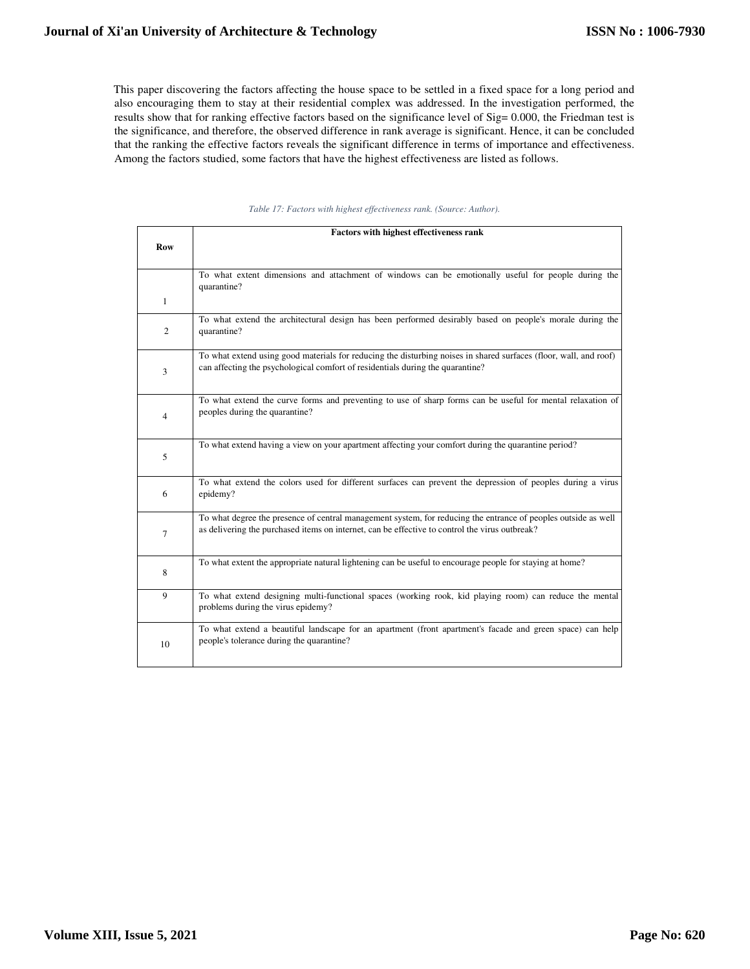This paper discovering the factors affecting the house space to be settled in a fixed space for a long period and also encouraging them to stay at their residential complex was addressed. In the investigation performed, the results show that for ranking effective factors based on the significance level of Sig= 0.000, the Friedman test is the significance, and therefore, the observed difference in rank average is significant. Hence, it can be concluded that the ranking the effective factors reveals the significant difference in terms of importance and effectiveness. Among the factors studied, some factors that have the highest effectiveness are listed as follows.

|                | <b>Factors with highest effectiveness rank</b>                                                                                                                                                                   |
|----------------|------------------------------------------------------------------------------------------------------------------------------------------------------------------------------------------------------------------|
| <b>Row</b>     |                                                                                                                                                                                                                  |
|                | To what extent dimensions and attachment of windows can be emotionally useful for people during the<br>quarantine?                                                                                               |
| $\mathbf{1}$   |                                                                                                                                                                                                                  |
| $\overline{2}$ | To what extend the architectural design has been performed desirably based on people's morale during the<br>quarantine?                                                                                          |
| 3              | To what extend using good materials for reducing the disturbing noises in shared surfaces (floor, wall, and roof)<br>can affecting the psychological comfort of residentials during the quarantine?              |
| 4              | To what extend the curve forms and preventing to use of sharp forms can be useful for mental relaxation of<br>peoples during the quarantine?                                                                     |
| 5              | To what extend having a view on your apartment affecting your comfort during the quarantine period?                                                                                                              |
| 6              | To what extend the colors used for different surfaces can prevent the depression of peoples during a virus<br>epidemy?                                                                                           |
| $\tau$         | To what degree the presence of central management system, for reducing the entrance of peoples outside as well<br>as delivering the purchased items on internet, can be effective to control the virus outbreak? |
| 8              | To what extent the appropriate natural lightening can be useful to encourage people for staying at home?                                                                                                         |
| 9              | To what extend designing multi-functional spaces (working rook, kid playing room) can reduce the mental<br>problems during the virus epidemy?                                                                    |
| 10             | To what extend a beautiful landscape for an apartment (front apartment's facade and green space) can help<br>people's tolerance during the quarantine?                                                           |

#### *Table 17: Factors with highest effectiveness rank. (Source: Author).*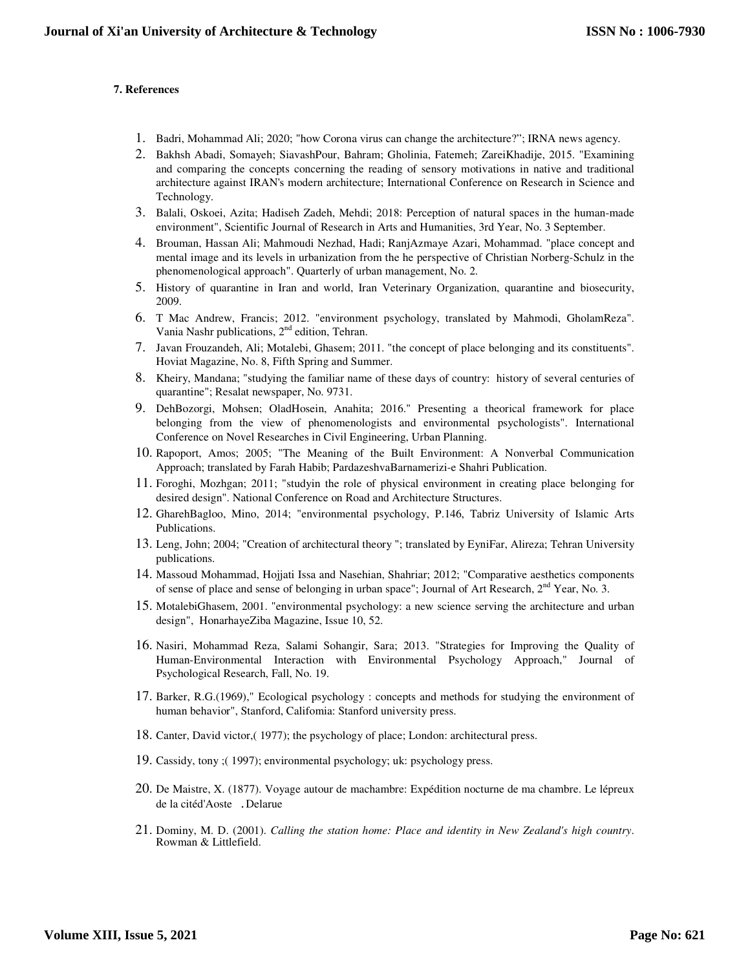# **7. References**

- 1. Badri, Mohammad Ali; 2020; "how Corona virus can change the architecture?"; IRNA news agency.
- 2. Bakhsh Abadi, Somayeh; SiavashPour, Bahram; Gholinia, Fatemeh; ZareiKhadije, 2015. "Examining and comparing the concepts concerning the reading of sensory motivations in native and traditional architecture against IRAN's modern architecture; International Conference on Research in Science and Technology.
- 3. Balali, Oskoei, Azita; Hadiseh Zadeh, Mehdi; 2018: Perception of natural spaces in the human-made environment", Scientific Journal of Research in Arts and Humanities, 3rd Year, No. 3 September.
- 4. Brouman, Hassan Ali; Mahmoudi Nezhad, Hadi; RanjAzmaye Azari, Mohammad. "place concept and mental image and its levels in urbanization from the he perspective of Christian Norberg-Schulz in the phenomenological approach". Quarterly of urban management, No. 2.
- 5. History of quarantine in Iran and world, Iran Veterinary Organization, quarantine and biosecurity, 2009.
- 6. T Mac Andrew, Francis; 2012. "environment psychology, translated by Mahmodi, GholamReza". Vania Nashr publications, 2nd edition, Tehran.
- 7. Javan Frouzandeh, Ali; Motalebi, Ghasem; 2011. "the concept of place belonging and its constituents". Hoviat Magazine, No. 8, Fifth Spring and Summer.
- 8. Kheiry, Mandana; "studying the familiar name of these days of country: history of several centuries of quarantine"; Resalat newspaper, No. 9731.
- 9. DehBozorgi, Mohsen; OladHosein, Anahita; 2016." Presenting a theorical framework for place belonging from the view of phenomenologists and environmental psychologists". International Conference on Novel Researches in Civil Engineering, Urban Planning.
- 10. Rapoport, Amos; 2005; "The Meaning of the Built Environment: A Nonverbal Communication Approach; translated by Farah Habib; PardazeshvaBarnamerizi-e Shahri Publication.
- 11. Foroghi, Mozhgan; 2011; "studyin the role of physical environment in creating place belonging for desired design". National Conference on Road and Architecture Structures.
- 12. GharehBagloo, Mino, 2014; "environmental psychology, P.146, Tabriz University of Islamic Arts Publications.
- 13. Leng, John; 2004; "Creation of architectural theory "; translated by EyniFar, Alireza; Tehran University publications.
- 14. Massoud Mohammad, Hojjati Issa and Nasehian, Shahriar; 2012; "Comparative aesthetics components of sense of place and sense of belonging in urban space"; Journal of Art Research,  $2<sup>nd</sup> Year$ , No. 3.
- 15. MotalebiGhasem, 2001. "environmental psychology: a new science serving the architecture and urban design", HonarhayeZiba Magazine, Issue 10, 52.
- 16. Nasiri, Mohammad Reza, Salami Sohangir, Sara; 2013. "Strategies for Improving the Quality of Human-Environmental Interaction with Environmental Psychology Approach," Journal of Psychological Research, Fall, No. 19.
- 17. Barker, R.G.(1969)," Ecological psychology : concepts and methods for studying the environment of human behavior", Stanford, Califomia: Stanford university press.
- 18. Canter, David victor,( 1977); the psychology of place; London: architectural press.
- 19. Cassidy, tony ;( 1997); environmental psychology; uk: psychology press.
- 20. De Maistre, X. (1877). Voyage autour de machambre: Expédition nocturne de ma chambre. Le lépreux de la citéd'Aoste .Delarue
- 21. Dominy, M. D. (2001). *Calling the station home: Place and identity in New Zealand's high country*. Rowman & Littlefield.